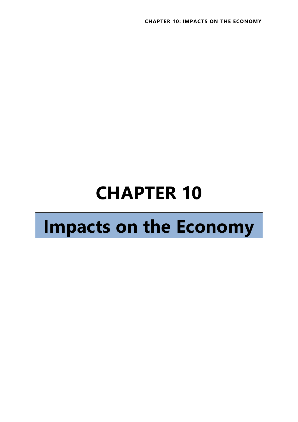# **CHAPTER 10**

## **Impacts on the Economy**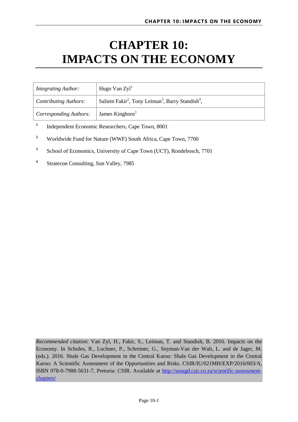## **CHAPTER 10: IMPACTS ON THE ECONOMY**

| <b>Integrating Author:</b>    | Hugo Van $Zyl1$                                                                      |
|-------------------------------|--------------------------------------------------------------------------------------|
| $\vert$ Contributing Authors: | Saliem Fakir <sup>2</sup> , Tony Leiman <sup>3</sup> , Barry Standish <sup>4</sup> , |
| <i>Corresponding Authors:</i> | James Kinghorn                                                                       |

**1** Independent Economic Researchers, Cape Town, 8001

- **2** Worldwide Fund for Nature (WWF) South Africa, Cape Town, 7700
- **3** School of Economics, University of Cape Town (UCT), Rondebosch, 7701
- **4** Stratecon Consulting, Sun Valley, 7985

*Recommended citation*: Van Zyl, H., Fakir, S., Leiman, T. and Standish, B. 2016. Impacts on the Economy. In Scholes, R., Lochner, P., Schreiner, G., Snyman-Van der Walt, L. and de Jager, M. (eds.). 2016. Shale Gas Development in the Central Karoo: Shale Gas Development in the Central Karoo: A Scientific Assessment of the Opportunities and Risks. CSIR/IU/021MH/EXP/2016/003/A, ISBN 978-0-7988-5631-7, Pretoria: CSIR. Available at [http://seasgd.csir.co.za/scientific-assessment](http://seasgd.csir.co.za/scientific-assessment-chapters/)[chapters/](http://seasgd.csir.co.za/scientific-assessment-chapters/)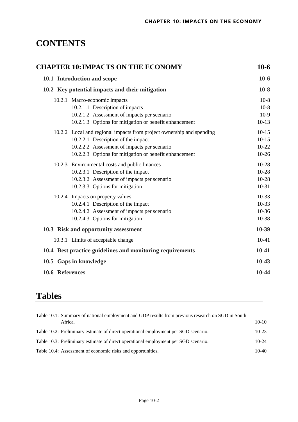### **CONTENTS**

| <b>CHAPTER 10: IMPACTS ON THE ECONOMY</b>                                                                                                                                                                            | $10-6$                                   |  |
|----------------------------------------------------------------------------------------------------------------------------------------------------------------------------------------------------------------------|------------------------------------------|--|
| 10.1 Introduction and scope                                                                                                                                                                                          | $10-6$                                   |  |
| 10.2 Key potential impacts and their mitigation                                                                                                                                                                      | $10-8$                                   |  |
| 10.2.1 Macro-economic impacts<br>10.2.1.1 Description of impacts<br>10.2.1.2 Assessment of impacts per scenario<br>10.2.1.3 Options for mitigation or benefit enhancement                                            | $10-8$<br>$10-8$<br>$10-9$<br>$10-13$    |  |
| 10.2.2 Local and regional impacts from project ownership and spending<br>10.2.2.1 Description of the impact<br>10.2.2.2 Assessment of impacts per scenario<br>10.2.2.3 Options for mitigation or benefit enhancement | $10-15$<br>$10-15$<br>$10-22$<br>$10-26$ |  |
| 10.2.3 Environmental costs and public finances<br>10.2.3.1 Description of the impact<br>10.2.3.2 Assessment of impacts per scenario<br>10.2.3.3 Options for mitigation                                               | $10-28$<br>$10-28$<br>10-28<br>$10-31$   |  |
| 10.2.4 Impacts on property values<br>10.2.4.1 Description of the impact<br>10.2.4.2 Assessment of impacts per scenario<br>10.2.4.3 Options for mitigation                                                            | $10-33$<br>$10-33$<br>$10-36$<br>10-38   |  |
| 10.3 Risk and opportunity assessment                                                                                                                                                                                 | 10-39                                    |  |
| 10.3.1 Limits of acceptable change                                                                                                                                                                                   | $10-41$                                  |  |
| 10.4 Best practice guidelines and monitoring requirements                                                                                                                                                            | $10-41$                                  |  |
| 10.5 Gaps in knowledge                                                                                                                                                                                               | $10-43$                                  |  |
| 10.6 References                                                                                                                                                                                                      | 10-44                                    |  |

## **Tables**

| Table 10.1: Summary of national employment and GDP results from previous research on SGD in South<br>Africa. | $10-10$ |
|--------------------------------------------------------------------------------------------------------------|---------|
| Table 10.2: Preliminary estimate of direct operational employment per SGD scenario.                          | $10-23$ |
| Table 10.3: Preliminary estimate of direct operational employment per SGD scenario.                          | $10-24$ |
| Table 10.4: Assessment of economic risks and opportunities.                                                  | $10-40$ |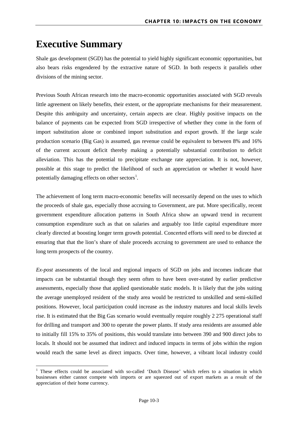### **Executive Summary**

 $\overline{a}$ 

Shale gas development (SGD) has the potential to yield highly significant economic opportunities, but also bears risks engendered by the extractive nature of SGD. In both respects it parallels other divisions of the mining sector.

Previous South African research into the macro-economic opportunities associated with SGD reveals little agreement on likely benefits, their extent, or the appropriate mechanisms for their measurement. Despite this ambiguity and uncertainty, certain aspects are clear. Highly positive impacts on the balance of payments can be expected from SGD irrespective of whether they come in the form of import substitution alone or combined import substitution and export growth. If the large scale production scenario (Big Gas) is assumed, gas revenue could be equivalent to between 8% and 16% of the current account deficit thereby making a potentially substantial contribution to deficit alleviation. This has the potential to precipitate exchange rate appreciation. It is not, however, possible at this stage to predict the likelihood of such an appreciation or whether it would have potentially damaging effects on other sectors<sup>[1](#page-3-0)</sup>.

The achievement of long term macro-economic benefits will necessarily depend on the uses to which the proceeds of shale gas, especially those accruing to Government, are put. More specifically, recent government expenditure allocation patterns in South Africa show an upward trend in recurrent consumption expenditure such as that on salaries and arguably too little capital expenditure more clearly directed at boosting longer term growth potential. Concerted efforts will need to be directed at ensuring that that the lion's share of shale proceeds accruing to government are used to enhance the long term prospects of the country.

*Ex-post* assessments of the local and regional impacts of SGD on jobs and incomes indicate that impacts can be substantial though they seem often to have been over-stated by earlier predictive assessments, especially those that applied questionable static models. It is likely that the jobs suiting the average unemployed resident of the study area would be restricted to unskilled and semi-skilled positions. However, local participation could increase as the industry matures and local skills levels rise. It is estimated that the Big Gas scenario would eventually require roughly 2 275 operational staff for drilling and transport and 300 to operate the power plants. If study area residents are assumed able to initially fill 15% to 35% of positions, this would translate into between 390 and 900 direct jobs to locals. It should not be assumed that indirect and induced impacts in terms of jobs within the region would reach the same level as direct impacts. Over time, however, a vibrant local industry could

<span id="page-3-0"></span><sup>&</sup>lt;sup>1</sup> These effects could be associated with so-called 'Dutch Disease' which refers to a situation in which businesses either cannot compete with imports or are squeezed out of export markets as a result of the appreciation of their home currency.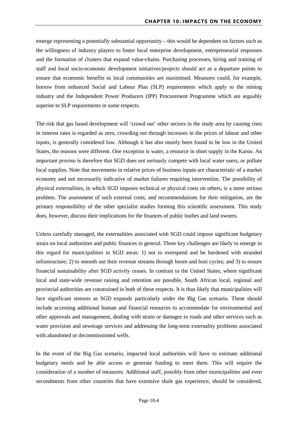emerge representing a potentially substantial opportunity – this would be dependent on factors such as the willingness of industry players to foster local enterprise development, entrepreneurial responses and the formation of clusters that expand value-chains. Purchasing processes, hiring and training of staff and local socio-economic development initiatives/projects should act as a departure points to ensure that economic benefits to local communities are maximised. Measures could, for example, borrow from enhanced Social and Labour Plan (SLP) requirements which apply to the mining industry and the Independent Power Producers (IPP) Procurement Programme which are arguably superior to SLP requirements in some respects.

The risk that gas based development will 'crowd out' other sectors in the study area by causing rises in interest rates is regarded as zero, crowding out through increases in the prices of labour and other inputs, is generally considered low. Although it has also mostly been found to be low in the United States, the reasons were different. One exception is water, a resource in short supply in the Karoo. An important proviso is therefore that SGD does not seriously compete with local water users, or pollute local supplies. Note that movements in relative prices of business inputs are characteristic of a market economy and not necessarily indicative of market failures requiring intervention. The possibility of physical externalities, in which SGD imposes technical or physical costs on others, is a more serious problem. The assessment of such external costs, and recommendations for their mitigation, are the primary responsibility of the other specialist studies forming this scientific assessment. This study does, however, discuss their implications for the finances of public bodies and land owners.

Unless carefully managed, the externalities associated with SGD could impose significant budgetary strain on local authorities and public finances in general. Three key challenges are likely to emerge in this regard for municipalities in SGD areas: 1) not to overspend and be burdened with stranded infrastructure; 2) to smooth out their revenue streams through boom and bust cycles; and 3) to ensure financial sustainability after SGD activity ceases. In contrast to the United States, where significant local and state-wide revenue raising and retention are possible, South African local, regional and provincial authorities are constrained in both of these respects. It is thus likely that municipalities will face significant stresses as SGD expands particularly under the Big Gas scenario. These should include accessing additional human and financial resources to accommodate for environmental and other approvals and management, dealing with strain or damages to roads and other services such as water provision and sewerage services and addressing the long-term externality problems associated with abandoned or decommissioned wells.

In the event of the Big Gas scenario, impacted local authorities will have to estimate additional budgetary needs and be able access or generate funding to meet them. This will require the consideration of a number of measures. Additional staff, possibly from other municipalities and even secondments from other countries that have extensive shale gas experience, should be considered.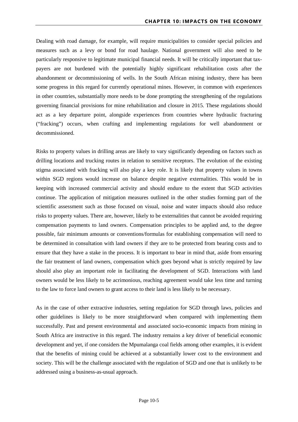Dealing with road damage, for example, will require municipalities to consider special policies and measures such as a levy or bond for road haulage. National government will also need to be particularly responsive to legitimate municipal financial needs. It will be critically important that taxpayers are not burdened with the potentially highly significant rehabilitation costs after the abandonment or decommissioning of wells. In the South African mining industry, there has been some progress in this regard for currently operational mines. However, in common with experiences in other countries, substantially more needs to be done prompting the strengthening of the regulations governing financial provisions for mine rehabilitation and closure in 2015. These regulations should act as a key departure point, alongside experiences from countries where hydraulic fracturing ("fracking") occurs, when crafting and implementing regulations for well abandonment or decommissioned.

Risks to property values in drilling areas are likely to vary significantly depending on factors such as drilling locations and trucking routes in relation to sensitive receptors. The evolution of the existing stigma associated with fracking will also play a key role. It is likely that property values in towns within SGD regions would increase on balance despite negative externalities. This would be in keeping with increased commercial activity and should endure to the extent that SGD activities continue. The application of mitigation measures outlined in the other studies forming part of the scientific assessment such as those focused on visual, noise and water impacts should also reduce risks to property values. There are, however, likely to be externalities that cannot be avoided requiring compensation payments to land owners. Compensation principles to be applied and, to the degree possible, fair minimum amounts or conventions/formulas for establishing compensation will need to be determined in consultation with land owners if they are to be protected from bearing costs and to ensure that they have a stake in the process. It is important to bear in mind that, aside from ensuring the fair treatment of land owners, compensation which goes beyond what is strictly required by law should also play an important role in facilitating the development of SGD. Interactions with land owners would be less likely to be acrimonious, reaching agreement would take less time and turning to the law to force land owners to grant access to their land is less likely to be necessary.

As in the case of other extractive industries, setting regulation for SGD through laws, policies and other guidelines is likely to be more straightforward when compared with implementing them successfully. Past and present environmental and associated socio-economic impacts from mining in South Africa are instructive in this regard. The industry remains a key driver of beneficial economic development and yet, if one considers the Mpumalanga coal fields among other examples, it is evident that the benefits of mining could be achieved at a substantially lower cost to the environment and society. This will be the challenge associated with the regulation of SGD and one that is unlikely to be addressed using a business-as-usual approach.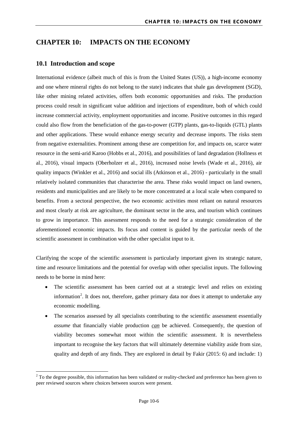#### <span id="page-6-0"></span>**CHAPTER 10: IMPACTS ON THE ECONOMY**

#### <span id="page-6-1"></span>**10.1 Introduction and scope**

 $\overline{a}$ 

International evidence (albeit much of this is from the United States (US)), a high-income economy and one where mineral rights do not belong to the state) indicates that shale gas development (SGD), like other mining related activities, offers both economic opportunities and risks. The production process could result in significant value addition and injections of expenditure, both of which could increase commercial activity, employment opportunities and income. Positive outcomes in this regard could also flow from the beneficiation of the gas-to-power (GTP) plants, gas-to-liquids (GTL) plants and other applications. These would enhance energy security and decrease imports. The risks stem from negative externalities. Prominent among these are competition for, and impacts on, scarce water resource in the semi-arid Karoo (Hobbs et al., 2016), and possibilities of land degradation (Hollness et al., 2016), visual impacts (Oberholzer et al., 2016), increased noise levels (Wade et al., 2016), air quality impacts (Winkler et al., 2016) and social ills (Atkinson et al., 2016) - particularly in the small relatively isolated communities that characterise the area. These risks would impact on land owners, residents and municipalities and are likely to be more concentrated at a local scale when compared to benefits. From a sectoral perspective, the two economic activities most reliant on natural resources and most clearly at risk are agriculture, the dominant sector in the area, and tourism which continues to grow in importance. This assessment responds to the need for a strategic consideration of the aforementioned economic impacts. Its focus and content is guided by the particular needs of the scientific assessment in combination with the other specialist input to it.

Clarifying the scope of the scientific assessment is particularly important given its strategic nature, time and resource limitations and the potential for overlap with other specialist inputs. The following needs to be borne in mind here:

- The scientific assessment has been carried out at a strategic level and relies on existing information<sup>[2](#page-6-2)</sup>. It does not, therefore, gather primary data nor does it attempt to undertake any economic modelling.
- The scenarios assessed by all specialists contributing to the scientific assessment essentially *assume* that financially viable production *can* be achieved. Consequently, the question of viability becomes somewhat moot within the scientific assessment. It is nevertheless important to recognise the key factors that will ultimately determine viability aside from size, quality and depth of any finds. They are explored in detail by Fakir (2015: 6) and include: 1)

<span id="page-6-2"></span><sup>&</sup>lt;sup>2</sup> To the degree possible, this information has been validated or reality-checked and preference has been given to peer reviewed sources where choices between sources were present.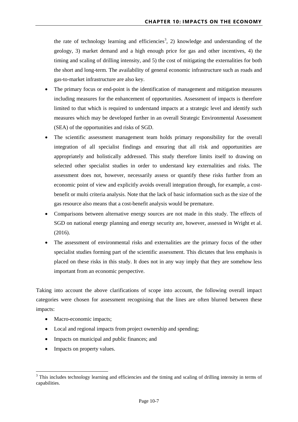the rate of technology learning and efficiencies<sup>[3](#page-7-0)</sup>, 2) knowledge and understanding of the geology, 3) market demand and a high enough price for gas and other incentives, 4) the timing and scaling of drilling intensity, and 5) the cost of mitigating the externalities for both the short and long-term. The availability of general economic infrastructure such as roads and gas-to-market infrastructure are also key.

- The primary focus or end-point is the identification of management and mitigation measures including measures for the enhancement of opportunities. Assessment of impacts is therefore limited to that which is required to understand impacts at a strategic level and identify such measures which may be developed further in an overall Strategic Environmental Assessment (SEA) of the opportunities and risks of SGD.
- The scientific assessment management team holds primary responsibility for the overall integration of all specialist findings and ensuring that all risk and opportunities are appropriately and holistically addressed. This study therefore limits itself to drawing on selected other specialist studies in order to understand key externalities and risks. The assessment does not, however, necessarily assess or quantify these risks further from an economic point of view and explicitly avoids overall integration through, for example, a costbenefit or multi criteria analysis. Note that the lack of basic information such as the size of the gas resource also means that a cost-benefit analysis would be premature.
- Comparisons between alternative energy sources are not made in this study. The effects of SGD on national energy planning and energy security are, however, assessed in Wright et al. (2016).
- The assessment of environmental risks and externalities are the primary focus of the other specialist studies forming part of the scientific assessment. This dictates that less emphasis is placed on these risks in this study. It does not in any way imply that they are somehow less important from an economic perspective.

Taking into account the above clarifications of scope into account, the following overall impact categories were chosen for assessment recognising that the lines are often blurred between these impacts:

- Macro-economic impacts;
- Local and regional impacts from project ownership and spending;
- Impacts on municipal and public finances; and
- Impacts on property values.

 $\overline{a}$ 

<span id="page-7-0"></span><sup>&</sup>lt;sup>3</sup> This includes technology learning and efficiencies and the timing and scaling of drilling intensity in terms of capabilities.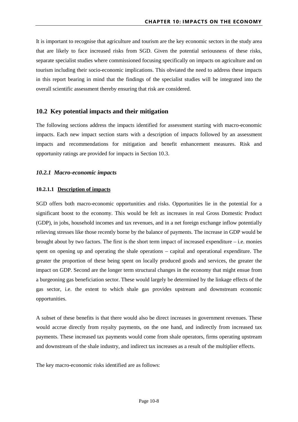It is important to recognise that agriculture and tourism are the key economic sectors in the study area that are likely to face increased risks from SGD. Given the potential seriousness of these risks, separate specialist studies where commissioned focusing specifically on impacts on agriculture and on tourism including their socio-economic implications. This obviated the need to address these impacts in this report bearing in mind that the findings of the specialist studies will be integrated into the overall scientific assessment thereby ensuring that risk are considered.

#### <span id="page-8-0"></span>**10.2 Key potential impacts and their mitigation**

The following sections address the impacts identified for assessment starting with macro-economic impacts. Each new impact section starts with a description of impacts followed by an assessment impacts and recommendations for mitigation and benefit enhancement measures. Risk and opportunity ratings are provided for impacts in Section [10.3.](#page-39-0)

#### <span id="page-8-1"></span>*10.2.1 Macro-economic impacts*

#### <span id="page-8-2"></span>**10.2.1.1 Description of impacts**

SGD offers both macro-economic opportunities and risks. Opportunities lie in the potential for a significant boost to the economy. This would be felt as increases in real Gross Domestic Product (GDP), in jobs, household incomes and tax revenues, and in a net foreign exchange inflow potentially relieving stresses like those recently borne by the balance of payments. The increase in GDP would be brought about by two factors. The first is the short term impact of increased expenditure  $-$  i.e. monies spent on opening up and operating the shale operations – capital and operational expenditure. The greater the proportion of these being spent on locally produced goods and services, the greater the impact on GDP. Second are the longer term structural changes in the economy that might ensue from a burgeoning gas beneficiation sector. These would largely be determined by the linkage effects of the gas sector, i.e. the extent to which shale gas provides upstream and downstream economic opportunities.

A subset of these benefits is that there would also be direct increases in government revenues. These would accrue directly from royalty payments, on the one hand, and indirectly from increased tax payments. These increased tax payments would come from shale operators, firms operating upstream and downstream of the shale industry, and indirect tax increases as a result of the multiplier effects.

The key macro-economic risks identified are as follows: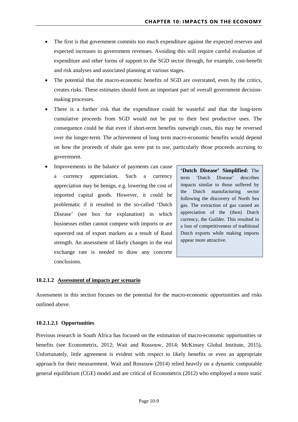- The first is that government commits too much expenditure against the expected reserves and expected increases in government revenues. Avoiding this will require careful evaluation of expenditure and other forms of support to the SGD sector through, for example, cost-benefit and risk analyses and associated planning at various stages.
- The potential that the macro-economic benefits of SGD are overstated, even by the critics, creates risks. These estimates should form an important part of overall government decisionmaking processes.
- There is a further risk that the expenditure could be wasteful and that the long-term cumulative proceeds from SGD would not be put to their best productive uses. The consequence could be that even if short-term benefits outweigh costs, this may be reversed over the longer-term. The achievement of long term macro-economic benefits would depend on how the proceeds of shale gas were put to use, particularly those proceeds accruing to government.
- Improvements in the balance of payments can cause a currency appreciation. Such a currency appreciation may be benign, e.g. lowering the cost of imported capital goods. However, it could be problematic if it resulted in the so-called 'Dutch Disease' (see box for explanation) in which businesses either cannot compete with imports or are squeezed out of export markets as a result of Rand strength. An assessment of likely changes in the real exchange rate is needed to draw any concrete conclusions.

**'Dutch Disease' Simplified:** The term 'Dutch Disease' describes impacts similar to those suffered by the Dutch manufacturing sector following the discovery of North Sea gas. The extraction of gas caused an appreciation of the (then) Dutch currency, the Guilder. This resulted in a loss of competitiveness of traditional Dutch exports while making imports appear more attractive.

#### <span id="page-9-0"></span>**10.2.1.2 Assessment of impacts per scenario**

Assessment in this section focuses on the potential for the macro-economic opportunities and risks outlined above.

#### **10.2.1.2.1 Opportunities**

Previous research in South Africa has focused on the estimation of macro-economic opportunities or benefits (see Econometrix, 2012; Wait and Rossouw, 2014; McKinsey Global Institute, 2015). Unfortunately, little agreement is evident with respect to likely benefits or even an appropriate approach for their measurement. Wait and Rossouw (2014) relied heavily on a dynamic computable general equilibrium (CGE) model and are critical of Econometrix (2012) who employed a more static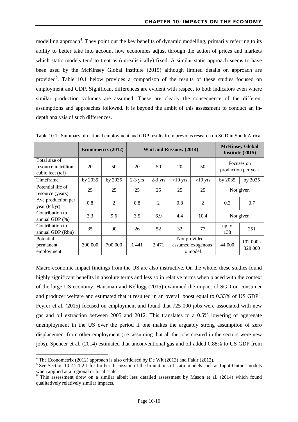modelling approach<sup>[4](#page-10-1)</sup>. They point out the key benefits of dynamic modelling, primarily referring to its ability to better take into account how economies adjust through the action of prices and markets which static models tend to treat as (unrealistically) fixed. A similar static approach seems to have been used by the McKinsey Global Institute (2015) although limited details on approach are provided<sup>[5](#page-10-2)</sup>. [Table 10.1](#page-10-0) below provides a comparison of the results of these studies focused on employment and GDP. Significant differences are evident with respect to both indicators even where similar production volumes are assumed. These are clearly the consequence of the different assumptions and approaches followed. It is beyond the ambit of this assessment to conduct an indepth analysis of such differences.

|                                                           | Econometrix (2012) |                | <b>Wait and Rossouw (2014)</b> |                |           |                                                 | <b>McKinsey Global</b><br>Institute (2015) |                                   |
|-----------------------------------------------------------|--------------------|----------------|--------------------------------|----------------|-----------|-------------------------------------------------|--------------------------------------------|-----------------------------------|
| Total size of<br>resource in trillion<br>cubic feet (tcf) | 20                 | 50             | 20                             | 50             | 20        | 50                                              |                                            | Focuses on<br>production per year |
| Timeframe                                                 | by 2035            | by 2035        | $2-3$ yrs                      | $2-3$ yrs      | $>10$ yrs | $>10$ yrs                                       | by 2035                                    | by 2035                           |
| Potential life of<br>resource (years)                     | 25                 | 25             | 25                             | 25             | 25        | 25                                              | Not given                                  |                                   |
| Ave production per<br>year (tcf/yr)                       | 0.8                | $\overline{2}$ | 0.8                            | $\overline{2}$ | 0.8       | $\mathfrak{D}$                                  | 0.3                                        | 0.7                               |
| Contribution to<br>annual GDP $(\%)$                      | 3.3                | 9.6            | 3.5                            | 6.9            | 4.4       | 10.4                                            | Not given                                  |                                   |
| Contribution to<br>annual GDP (Rbn)                       | 35                 | 90             | 26                             | 52             | 32        | 77                                              | up to<br>138                               | 251                               |
| Potential<br>permanent<br>employment                      | 300 000            | 700 000        | 1441                           | 2471           |           | Not provided -<br>assumed exogenous<br>to model | $102000 -$<br>44 000<br>328 000            |                                   |

<span id="page-10-0"></span>Table 10.1: Summary of national employment and GDP results from previous research on SGD in South Africa.

Macro-economic impact findings from the US are also instructive. On the whole, these studies found highly significant benefits in absolute terms and less so in relative terms when placed with the context of the large US economy. Hausman and Kellogg (2015) examined the impact of SGD on consumer and producer welfare and estimated that it resulted in an overall boost equal to  $0.33\%$  of US GDP<sup>[6](#page-10-3)</sup>. Feyrer et al*.* (2015) focused on employment and found that 725 000 jobs were associated with new gas and oil extraction between 2005 and 2012. This translates to a 0.5% lowering of aggregate unemployment in the US over the period if one makes the arguably strong assumption of zero displacement from other employment (i.e. assuming that all the jobs created in the sectors were new jobs). Spencer et al*.* (2014) estimated that unconventional gas and oil added 0.88% to US GDP from

<span id="page-10-1"></span> $4$  The Econometrix (2012) approach is also criticised by De Wit (2013) and Fakir (2012).

<span id="page-10-2"></span><sup>&</sup>lt;sup>5</sup> See Section 10.2.2.1.2.1 for further discussion of the limitations of static models such as Input-Output models when applied at a regional or local scale.

<span id="page-10-3"></span><sup>6</sup> This assessment drew on a similar albeit less detailed assessment by Mason et al. (2014) which found qualitatively relatively similar impacts.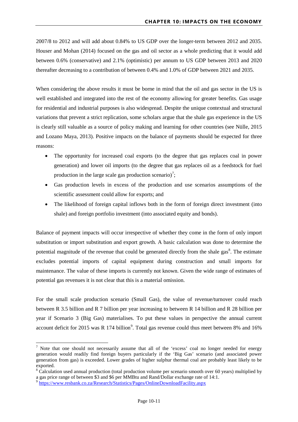2007/8 to 2012 and will add about 0.84% to US GDP over the longer-term between 2012 and 2035. Houser and Mohan (2014) focused on the gas and oil sector as a whole predicting that it would add between 0.6% (conservative) and 2.1% (optimistic) per annum to US GDP between 2013 and 2020 thereafter decreasing to a contribution of between 0.4% and 1.0% of GDP between 2021 and 2035.

When considering the above results it must be borne in mind that the oil and gas sector in the US is well established and integrated into the rest of the economy allowing for greater benefits. Gas usage for residential and industrial purposes is also widespread. Despite the unique contextual and structural variations that prevent a strict replication, some scholars argue that the shale gas experience in the US is clearly still valuable as a source of policy making and learning for other countries (see Nülle, 2015 and Lozano Maya, 2013). Positive impacts on the balance of payments should be expected for three reasons:

- The opportunity for increased coal exports (to the degree that gas replaces coal in power generation) and lower oil imports (to the degree that gas replaces oil as a feedstock for fuel production in the large scale gas production scenario)<sup>[7](#page-11-0)</sup>;
- Gas production levels in excess of the production and use scenarios assumptions of the scientific assessment could allow for exports; and
- The likelihood of foreign capital inflows both in the form of foreign direct investment (into shale) and foreign portfolio investment (into associated equity and bonds).

Balance of payment impacts will occur irrespective of whether they come in the form of only import substitution or import substitution and export growth. A basic calculation was done to determine the potential magnitude of the revenue that could be generated directly from the shale gas<sup>[8](#page-11-1)</sup>. The estimate excludes potential imports of capital equipment during construction and small imports for maintenance. The value of these imports is currently not known. Given the wide range of estimates of potential gas revenues it is not clear that this is a material omission.

For the small scale production scenario (Small Gas), the value of revenue/turnover could reach between R 3.5 billion and R 7 billion per year increasing to between R 14 billion and R 28 billion per year if Scenario 3 (Big Gas) materialises. To put these values in perspective the annual current account deficit for 2015 was R 174 billion<sup>[9](#page-11-2)</sup>. Total gas revenue could thus meet between 8% and 16%

**.** 

<span id="page-11-0"></span>Note that one should not necessarily assume that all of the 'excess' coal no longer needed for energy generation would readily find foreign buyers particularly if the 'Big Gas' scenario (and associated power generation from gas) is exceeded. Lower grades of higher sulphur thermal coal are probably least likely to be exported.

<span id="page-11-1"></span> $8$  Calculation used annual production (total production volume per scenario smooth over 60 years) multiplied by a gas price range of between \$3 and \$6 per MMBtu and Rand/Dollar exchange rate of 14:1.

<span id="page-11-2"></span><sup>&</sup>lt;sup>9</sup> https://www.resbank.co.za/Research/Statistics/Pages/OnlineDownloadFacility.aspx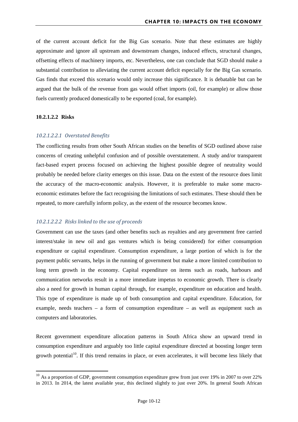of the current account deficit for the Big Gas scenario. Note that these estimates are highly approximate and ignore all upstream and downstream changes, induced effects, structural changes, offsetting effects of machinery imports, etc. Nevertheless, one can conclude that SGD should make a substantial contribution to alleviating the current account deficit especially for the Big Gas scenario. Gas finds that exceed this scenario would only increase this significance. It is debatable but can be argued that the bulk of the revenue from gas would offset imports (oil, for example) or allow those fuels currently produced domestically to be exported (coal, for example).

#### **10.2.1.2.2 Risks**

 $\overline{a}$ 

#### *10.2.1.2.2.1 Overstated Benefits*

The conflicting results from other South African studies on the benefits of SGD outlined above raise concerns of creating unhelpful confusion and of possible overstatement. A study and/or transparent fact-based expert process focused on achieving the highest possible degree of neutrality would probably be needed before clarity emerges on this issue. Data on the extent of the resource does limit the accuracy of the macro-economic analysis. However, it is preferable to make some macroeconomic estimates before the fact recognising the limitations of such estimates. These should then be repeated, to more carefully inform policy, as the extent of the resource becomes know.

#### *10.2.1.2.2.2 Risks linked to the use of proceeds*

Government can use the taxes (and other benefits such as royalties and any government free carried interest/stake in new oil and gas ventures which is being considered) for either consumption expenditure or capital expenditure. Consumption expenditure, a large portion of which is for the payment public servants, helps in the running of government but make a more limited contribution to long term growth in the economy. Capital expenditure on items such as roads, harbours and communication networks result in a more immediate impetus to economic growth. There is clearly also a need for growth in human capital through, for example, expenditure on education and health. This type of expenditure is made up of both consumption and capital expenditure. Education, for example, needs teachers – a form of consumption expenditure – as well as equipment such as computers and laboratories.

Recent government expenditure allocation patterns in South Africa show an upward trend in consumption expenditure and arguably too little capital expenditure directed at boosting longer term growth potential<sup>10</sup>. If this trend remains in place, or even accelerates, it will become less likely that

<span id="page-12-0"></span> $10$  As a proportion of GDP, government consumption expenditure grew from just over 19% in 2007 to over 22% in 2013. In 2014, the latest available year, this declined slightly to just over 20%. In general South African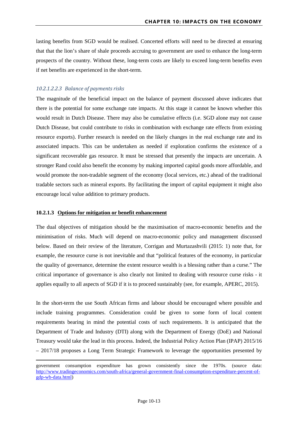lasting benefits from SGD would be realised. Concerted efforts will need to be directed at ensuring that that the lion's share of shale proceeds accruing to government are used to enhance the long-term prospects of the country. Without these, long-term costs are likely to exceed long-term benefits even if net benefits are experienced in the short-term.

#### *10.2.1.2.2.3 Balance of payments risks*

The magnitude of the beneficial impact on the balance of payment discussed above indicates that there is the potential for some exchange rate impacts. At this stage it cannot be known whether this would result in Dutch Disease. There may also be cumulative effects (i.e. SGD alone may not cause Dutch Disease, but could contribute to risks in combination with exchange rate effects from existing resource exports). Further research is needed on the likely changes in the real exchange rate and its associated impacts. This can be undertaken as needed if exploration confirms the existence of a significant recoverable gas resource. It must be stressed that presently the impacts are uncertain. A stronger Rand could also benefit the economy by making imported capital goods more affordable, and would promote the non-tradable segment of the economy (local services, etc.) ahead of the traditional tradable sectors such as mineral exports. By facilitating the import of capital equipment it might also encourage local value addition to primary products.

#### <span id="page-13-0"></span>**10.2.1.3 Options for mitigation or benefit enhancement**

<u>.</u>

The dual objectives of mitigation should be the maximisation of macro-economic benefits and the minimisation of risks. Much will depend on macro-economic policy and management discussed below. Based on their review of the literature, Corrigan and Murtazashvili (2015: 1) note that, for example, the resource curse is not inevitable and that "political features of the economy, in particular the quality of governance, determine the extent resource wealth is a blessing rather than a curse." The critical importance of governance is also clearly not limited to dealing with resource curse risks - it applies equally to all aspects of SGD if it is to proceed sustainably (see, for example, APERC, 2015).

In the short-term the use South African firms and labour should be encouraged where possible and include training programmes. Consideration could be given to some form of local content requirements bearing in mind the potential costs of such requirements. It is anticipated that the Department of Trade and Industry (DTI) along with the Department of Energy (DoE) and National Treasury would take the lead in this process. Indeed, the Industrial Policy Action Plan (IPAP) 2015/16 – 2017/18 proposes a Long Term Strategic Framework to leverage the opportunities presented by

government consumption expenditure has grown consistently since the 1970s. (source data: [http://www.tradingeconomics.com/south-africa/general-government-final-consumption-expenditure-percent-of](http://www.tradingeconomics.com/south-africa/general-government-final-consumption-expenditure-percent-of-gdp-wb-data.html)[gdp-wb-data.html\)](http://www.tradingeconomics.com/south-africa/general-government-final-consumption-expenditure-percent-of-gdp-wb-data.html)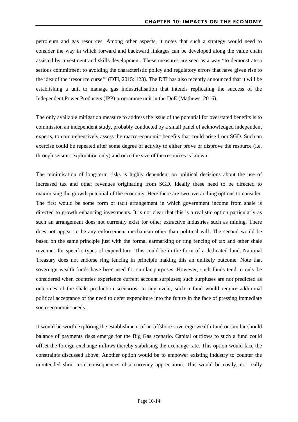petroleum and gas resources. Among other aspects, it notes that such a strategy would need to consider the way in which forward and backward linkages can be developed along the value chain assisted by investment and skills development. These measures are seen as a way "to demonstrate a serious commitment to avoiding the characteristic policy and regulatory errors that have given rise to the idea of the 'resource curse'" (DTI, 2015: 123). The DTI has also recently announced that it will be establishing a unit to manage gas industrialisation that intends replicating the success of the Independent Power Producers (IPP) programme unit in the DoE (Mathews, 2016).

The only available mitigation measure to address the issue of the potential for overstated benefits is to commission an independent study, probably conducted by a small panel of acknowledged independent experts, to comprehensively assess the macro-economic benefits that could arise from SGD. Such an exercise could be repeated after some degree of activity to either prove or disprove the resource (i.e. through seismic exploration only) and once the size of the resources is known.

The minimisation of long-term risks is highly dependent on political decisions about the use of increased tax and other revenues originating from SGD. Ideally these need to be directed to maximising the growth potential of the economy. Here there are two overarching options to consider. The first would be some form or tacit arrangement in which government income from shale is directed to growth enhancing investments. It is not clear that this is a realistic option particularly as such an arrangement does not currently exist for other extractive industries such as mining. There does not appear to be any enforcement mechanism other than political will. The second would be based on the same principle just with the formal earmarking or ring fencing of tax and other shale revenues for specific types of expenditure. This could be in the form of a dedicated fund. National Treasury does not endorse ring fencing in principle making this an unlikely outcome. Note that sovereign wealth funds have been used for similar purposes. However, such funds tend to only be considered when countries experience current account surpluses; such surpluses are not predicted as outcomes of the shale production scenarios. In any event, such a fund would require additional political acceptance of the need to defer expenditure into the future in the face of pressing immediate socio-economic needs.

It would be worth exploring the establishment of an offshore sovereign wealth fund or similar should balance of payments risks emerge for the Big Gas scenario. Capital outflows to such a fund could offset the foreign exchange inflows thereby stabilising the exchange rate. This option would face the constraints discussed above. Another option would be to empower existing industry to counter the unintended short term consequences of a currency appreciation. This would be costly, not really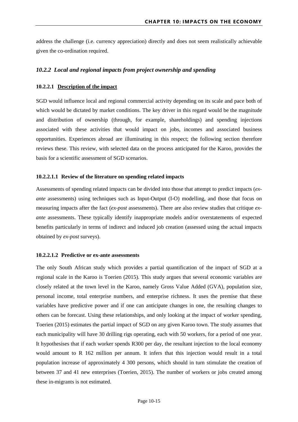address the challenge (i.e. currency appreciation) directly and does not seem realistically achievable given the co-ordination required.

#### <span id="page-15-0"></span>*10.2.2 Local and regional impacts from project ownership and spending*

#### <span id="page-15-1"></span>**10.2.2.1 Description of the impact**

SGD would influence local and regional commercial activity depending on its scale and pace both of which would be dictated by market conditions. The key driver in this regard would be the magnitude and distribution of ownership (through, for example, shareholdings) and spending injections associated with these activities that would impact on jobs, incomes and associated business opportunities. Experiences abroad are illuminating in this respect; the following section therefore reviews these. This review, with selected data on the process anticipated for the Karoo, provides the basis for a scientific assessment of SGD scenarios.

#### **10.2.2.1.1 Review of the literature on spending related impacts**

Assessments of spending related impacts can be divided into those that attempt to predict impacts (*exante* assessments) using techniques such as Input-Output (I-O) modelling, and those that focus on measuring impacts after the fact (*ex-post* assessments). There are also review studies that critique *exante* assessments. These typically identify inappropriate models and/or overstatements of expected benefits particularly in terms of indirect and induced job creation (assessed using the actual impacts obtained by *ex-post* surveys).

#### **10.2.2.1.2 Predictive or ex-ante assessments**

The only South African study which provides a partial quantification of the impact of SGD at a regional scale in the Karoo is Toerien (2015). This study argues that several economic variables are closely related at the town level in the Karoo, namely Gross Value Added (GVA), population size, personal income, total enterprise numbers, and enterprise richness. It uses the premise that these variables have predictive power and if one can anticipate changes in one, the resulting changes to others can be forecast. Using these relationships, and only looking at the impact of worker spending, Toerien (2015) estimates the partial impact of SGD on any given Karoo town. The study assumes that each municipality will have 30 drilling rigs operating, each with 50 workers, for a period of one year. It hypothesises that if each worker spends R300 per day, the resultant injection to the local economy would amount to R 162 million per annum. It infers that this injection would result in a total population increase of approximately 4 300 persons, which should in turn stimulate the creation of between 37 and 41 new enterprises (Toerien, 2015). The number of workers or jobs created among these in-migrants is not estimated.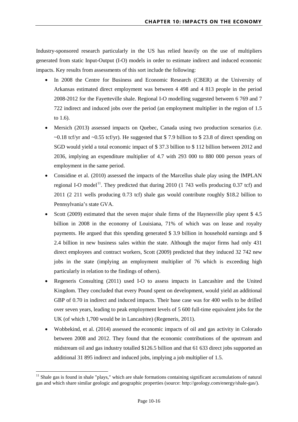Industry-sponsored research particularly in the US has relied heavily on the use of multipliers generated from static Input-Output (I-O) models in order to estimate indirect and induced economic impacts. Key results from assessments of this sort include the following:

- In 2008 the Centre for Business and Economic Research (CBER) at the University of Arkansas estimated direct employment was between 4 498 and 4 813 people in the period 2008-2012 for the Fayetteville shale. Regional I-O modelling suggested between 6 769 and 7 722 indirect and induced jobs over the period (an employment multiplier in the region of 1.5 to 1.6).
- Mersich (2013) assessed impacts on Quebec, Canada using two production scenarios (i.e.  $\sim$ 0.18 tcf/yr and  $\sim$ 0.55 tcf/yr). He suggested that \$7.9 billion to \$23.8 of direct spending on SGD would yield a total economic impact of \$ 37.3 billion to \$ 112 billion between 2012 and 2036, implying an expenditure multiplier of 4.7 with 293 000 to 880 000 person years of employment in the same period.
- Considine et al. (2010) assessed the impacts of the Marcellus shale play using the IMPLAN regional I-O model<sup>11</sup>. They predicted that during 2010 (1 743 wells producing 0.37 tcf) and 2011 (2 211 wells producing 0.73 tcf) shale gas would contribute roughly \$18.2 billion to Pennsylvania's state GVA.
- Scott (2009) estimated that the seven major shale firms of the Haynesville play spent \$4.5 billion in 2008 in the economy of Louisiana, 71% of which was on lease and royalty payments. He argued that this spending generated \$ 3.9 billion in household earnings and \$ 2.4 billion in new business sales within the state. Although the major firms had only 431 direct employees and contract workers, Scott (2009) predicted that they induced 32 742 new jobs in the state (implying an employment multiplier of 76 which is exceeding high particularly in relation to the findings of others).
- Regeneris Consulting (2011) used I-O to assess impacts in Lancashire and the United Kingdom. They concluded that every Pound spent on development, would yield an additional GBP of 0.70 in indirect and induced impacts. Their base case was for 400 wells to be drilled over seven years, leading to peak employment levels of 5 600 full-time equivalent jobs for the UK (of which 1,700 would be in Lancashire) (Regeneris, 2011).
- Wobbekind, et al. (2014) assessed the economic impacts of oil and gas activity in Colorado between 2008 and 2012. They found that the economic contributions of the upstream and midstream oil and gas industry totalled \$126.5 billion and that 61 633 direct jobs supported an additional 31 895 indirect and induced jobs, implying a job multiplier of 1.5.

 $\overline{a}$ 

<span id="page-16-0"></span><sup>&</sup>lt;sup>11</sup> Shale gas is found in shale "plays," which are shale formations containing significant accumulations of natural gas and which share similar geologic and geographic properties (source: http://geology.com/energy/shale-gas/).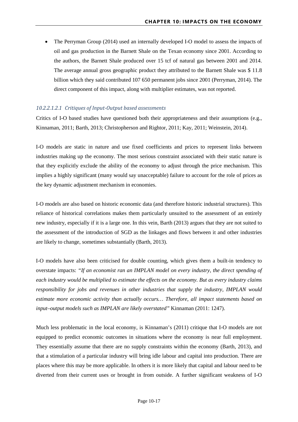• The Perryman Group (2014) used an internally developed I-O model to assess the impacts of oil and gas production in the Barnett Shale on the Texan economy since 2001. According to the authors, the Barnett Shale produced over 15 tcf of natural gas between 2001 and 2014. The average annual gross geographic product they attributed to the Barnett Shale was \$ 11.8 billion which they said contributed 107 650 permanent jobs since 2001 (Perryman, 2014). The direct component of this impact, along with multiplier estimates, was not reported.

#### *10.2.2.1.2.1 Critiques of Input-Output based assessments*

Critics of I-O based studies have questioned both their appropriateness and their assumptions (e.g., Kinnaman, 2011; Barth, 2013; Christopherson and Rightor, 2011; Kay, 2011; Weinstein, 2014).

I-O models are static in nature and use fixed coefficients and prices to represent links between industries making up the economy. The most serious constraint associated with their static nature is that they explicitly exclude the ability of the economy to adjust through the price mechanism. This implies a highly significant (many would say unacceptable) failure to account for the role of prices as the key dynamic adjustment mechanism in economies.

I-O models are also based on historic economic data (and therefore historic industrial structures). This reliance of historical correlations makes them particularly unsuited to the assessment of an entirely new industry, especially if it is a large one. In this vein, Barth (2013) argues that they are not suited to the assessment of the introduction of SGD as the linkages and flows between it and other industries are likely to change, sometimes substantially (Barth, 2013).

I-O models have also been criticised for double counting, which gives them a built-in tendency to overstate impacts: *"If an economist ran an IMPLAN model on every industry, the direct spending of each industry would be multiplied to estimate the effects on the economy. But as every industry claims responsibility for jobs and revenues in other industries that supply the industry, IMPLAN would estimate more economic activity than actually occurs… Therefore, all impact statements based on input–output models such as IMPLAN are likely overstated"* Kinnaman (2011: 1247).

Much less problematic in the local economy, is Kinnaman's (2011) critique that I-O models are not equipped to predict economic outcomes in situations where the economy is near full employment. They essentially assume that there are no supply constraints within the economy (Barth, 2013), and that a stimulation of a particular industry will bring idle labour and capital into production. There are places where this may be more applicable. In others it is more likely that capital and labour need to be diverted from their current uses or brought in from outside. A further significant weakness of I-O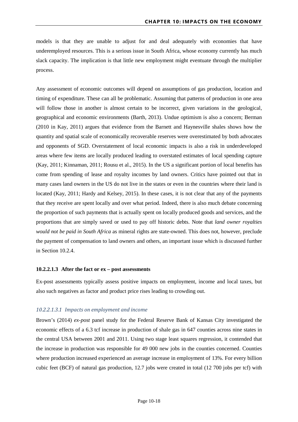models is that they are unable to adjust for and deal adequately with economies that have underemployed resources. This is a serious issue in South Africa, whose economy currently has much slack capacity. The implication is that little new employment might eventuate through the multiplier process.

Any assessment of economic outcomes will depend on assumptions of gas production, location and timing of expenditure. These can all be problematic. Assuming that patterns of production in one area will follow those in another is almost certain to be incorrect, given variations in the geological, geographical and economic environments (Barth, 2013). Undue optimism is also a concern; Berman (2010 in Kay, 2011) argues that evidence from the Barnett and Haynesville shales shows how the quantity and spatial scale of economically recoverable reserves were overestimated by both advocates and opponents of SGD. Overstatement of local economic impacts is also a risk in underdeveloped areas where few items are locally produced leading to overstated estimates of local spending capture (Kay, 2011; Kinnaman, 2011; Rousu et al., 2015). In the US a significant portion of local benefits has come from spending of lease and royalty incomes by land owners. Critics have pointed out that in many cases land owners in the US do not live in the states or even in the countries where their land is located (Kay, 2011; Hardy and Kelsey, 2015). In these cases, it is not clear that any of the payments that they receive are spent locally and over what period. Indeed, there is also much debate concerning the proportion of such payments that is actually spent on locally produced goods and services, and the proportions that are simply saved or used to pay off historic debts. Note that *land owner royalties would not be paid in South Africa* as mineral rights are state-owned. This does not, however, preclude the payment of compensation to land owners and others, an important issue which is discussed further in Section 10.2.4.

#### **10.2.2.1.3 After the fact or ex – post assessments**

Ex-post assessments typically assess positive impacts on employment, income and local taxes, but also such negatives as factor and product price rises leading to crowding out.

#### *10.2.2.1.3.1 Impacts on employment and income*

Brown's (2014) *ex-post* panel study for the Federal Reserve Bank of Kansas City investigated the economic effects of a 6.3 tcf increase in production of shale gas in 647 counties across nine states in the central USA between 2001 and 2011. Using two stage least squares regression, it contended that the increase in production was responsible for 49 000 new jobs in the counties concerned. Counties where production increased experienced an average increase in employment of 13%. For every billion cubic feet (BCF) of natural gas production, 12.7 jobs were created in total (12 700 jobs per tcf) with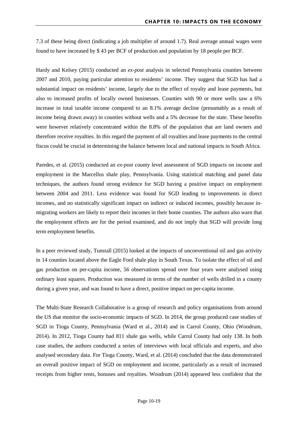7.3 of these being direct (indicating a job multiplier of around 1.7). Real average annual wages were found to have increased by \$ 43 per BCF of production and population by 18 people per BCF.

Hardy and Kelsey (2015) conducted an *ex-post* analysis in selected Pennsylvania counties between 2007 and 2010, paying particular attention to residents' income. They suggest that SGD has had a substantial impact on residents' income, largely due to the effect of royalty and lease payments, but also to increased profits of locally owned businesses. Counties with 90 or more wells saw a 6% increase in total taxable income compared to an 8.1% average decline (presumably as a result of income being drawn away) in counties without wells and a 5% decrease for the state. These benefits were however relatively concentrated within the 8.8% of the population that are land owners and therefore receive royalties. In this regard the payment of all royalties and lease payments to the central fiscus could be crucial in determining the balance between local and national impacts in South Africa.

Paredes, et al. (2015) conducted an *ex-post* county level assessment of SGD impacts on income and employment in the Marcellus shale play, Pennsylvania. Using statistical matching and panel data techniques, the authors found strong evidence for SGD having a positive impact on employment between 2004 and 2011. Less evidence was found for SGD leading to improvements in direct incomes, and no statistically significant impact on indirect or induced incomes, possibly because inmigrating workers are likely to report their incomes in their home counties. The authors also warn that the employment effects are for the period examined, and do not imply that SGD will provide long term employment benefits.

In a peer reviewed study, Tunstall (2015) looked at the impacts of unconventional oil and gas activity in 14 counties located above the Eagle Ford shale play in South Texas. To isolate the effect of oil and gas production on per-capita income, 56 observations spread over four years were analysed using ordinary least squares. Production was measured in terms of the number of wells drilled in a county during a given year, and was found to have a direct, positive impact on per-capita income.

The Multi-State Research Collaborative is a group of research and policy organisations from around the US that monitor the socio-economic impacts of SGD. In 2014, the group produced case studies of SGD in Tioga County, Pennsylvania (Ward et al., 2014) and in Carrol County, Ohio (Woodrum, 2014). In 2012, Tioga County had 811 shale gas wells, while Carrol County had only 138. In both case studies, the authors conducted a series of interviews with local officials and experts, and also analysed secondary data. For Tioga County, Ward, et al. (2014) concluded that the data demonstrated an overall positive impact of SGD on employment and income, particularly as a result of increased receipts from higher rents, bonuses and royalties. Woodrum (2014) appeared less confident that the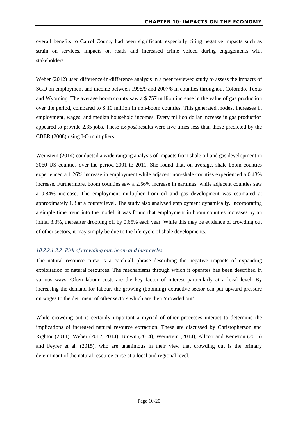overall benefits to Carrol County had been significant, especially citing negative impacts such as strain on services, impacts on roads and increased crime voiced during engagements with stakeholders.

Weber (2012) used difference-in-difference analysis in a peer reviewed study to assess the impacts of SGD on employment and income between 1998/9 and 2007/8 in counties throughout Colorado, Texas and Wyoming. The average boom county saw a \$ 757 million increase in the value of gas production over the period, compared to \$ 10 million in non-boom counties. This generated modest increases in employment, wages, and median household incomes. Every million dollar increase in gas production appeared to provide 2.35 jobs. These *ex-post* results were five times less than those predicted by the CBER (2008) using I-O multipliers.

Weinstein (2014) conducted a wide ranging analysis of impacts from shale oil and gas development in 3060 US counties over the period 2001 to 2011. She found that, on average, shale boom counties experienced a 1.26% increase in employment while adjacent non-shale counties experienced a 0.43% increase. Furthermore, boom counties saw a 2.56% increase in earnings, while adjacent counties saw a 0.84% increase. The employment multiplier from oil and gas development was estimated at approximately 1.3 at a county level. The study also analysed employment dynamically. Incorporating a simple time trend into the model, it was found that employment in boom counties increases by an initial 3.3%, thereafter dropping off by 0.65% each year. While this may be evidence of crowding out of other sectors, it may simply be due to the life cycle of shale developments.

#### *10.2.2.1.3.2 Risk of crowding out, boom and bust cycles*

The natural resource curse is a catch-all phrase describing the negative impacts of expanding exploitation of natural resources. The mechanisms through which it operates has been described in various ways. Often labour costs are the key factor of interest particularly at a local level. By increasing the demand for labour, the growing (booming) extractive sector can put upward pressure on wages to the detriment of other sectors which are then 'crowded out'.

While crowding out is certainly important a myriad of other processes interact to determine the implications of increased natural resource extraction. These are discussed by Christopherson and Rightor (2011), Weber (2012, 2014), Brown (2014), Weinstein (2014), Allcott and Keniston (2015) and Feyrer et al. (2015), who are unanimous in their view that crowding out is the primary determinant of the natural resource curse at a local and regional level.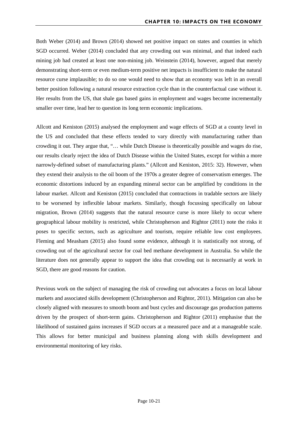Both Weber (2014) and Brown (2014) showed net positive impact on states and counties in which SGD occurred. Weber (2014) concluded that any crowding out was minimal, and that indeed each mining job had created at least one non-mining job. Weinstein (2014), however, argued that merely demonstrating short-term or even medium-term positive net impacts is insufficient to make the natural resource curse implausible; to do so one would need to show that an economy was left in an overall better position following a natural resource extraction cycle than in the counterfactual case without it. Her results from the US, that shale gas based gains in employment and wages become incrementally smaller over time, lead her to question its long term economic implications.

Allcott and Keniston (2015) analysed the employment and wage effects of SGD at a county level in the US and concluded that these effects tended to vary directly with manufacturing rather than crowding it out. They argue that, "… while Dutch Disease is theoretically possible and wages do rise, our results clearly reject the idea of Dutch Disease within the United States, except for within a more narrowly-defined subset of manufacturing plants." (Allcott and Keniston, 2015: 32). However, when they extend their analysis to the oil boom of the 1970s a greater degree of conservatism emerges. The economic distortions induced by an expanding mineral sector can be amplified by conditions in the labour market. Allcott and Keniston (2015) concluded that contractions in tradable sectors are likely to be worsened by inflexible labour markets. Similarly, though focussing specifically on labour migration, Brown (2014) suggests that the natural resource curse is more likely to occur where geographical labour mobility is restricted, while Christopherson and Rightor (2011) note the risks it poses to specific sectors, such as agriculture and tourism, require reliable low cost employees. Fleming and Measham (2015) also found some evidence, although it is statistically not strong, of crowding out of the agricultural sector for coal bed methane development in Australia. So while the literature does not generally appear to support the idea that crowding out is necessarily at work in SGD, there are good reasons for caution.

Previous work on the subject of managing the risk of crowding out advocates a focus on local labour markets and associated skills development (Christopherson and Rightor, 2011). Mitigation can also be closely aligned with measures to smooth boom and bust cycles and discourage gas production patterns driven by the prospect of short-term gains. Christopherson and Rightor (2011) emphasise that the likelihood of sustained gains increases if SGD occurs at a measured pace and at a manageable scale. This allows for better municipal and business planning along with skills development and environmental monitoring of key risks.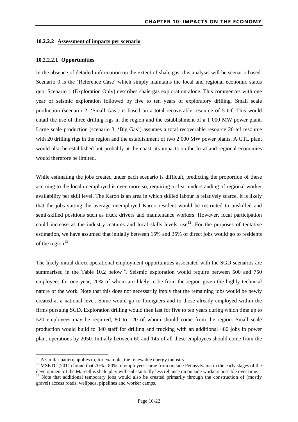#### <span id="page-22-0"></span>**10.2.2.2 Assessment of impacts per scenario**

#### **10.2.2.2.1 Opportunities**

In the absence of detailed information on the extent of shale gas, this analysis will be scenario based. Scenario 0 is the 'Reference Case' which simply maintains the local and regional economic status quo. Scenario 1 (Exploration Only) describes shale gas exploration alone. This commences with one year of seismic exploration followed by five to ten years of exploratory drilling. Small scale production (scenario 2, 'Small Gas') is based on a total recoverable resource of 5 tcf. This would entail the use of three drilling rigs in the region and the establishment of a 1 000 MW power plant. Large scale production (scenario 3, 'Big Gas') assumes a total recoverable resource 20 tcf resource with 20 drilling rigs in the region and the establishment of two 2 000 MW power plants. A GTL plant would also be established but probably at the coast; its impacts on the local and regional economies would therefore be limited.

While estimating the jobs created under each scenario is difficult, predicting the proportion of these accruing to the local unemployed is even more so, requiring a clear understanding of regional worker availability per skill level. The Karoo is an area in which skilled labour is relatively scarce. It is likely that the jobs suiting the average unemployed Karoo resident would be restricted to unskilled and semi-skilled positions such as truck drivers and maintenance workers. However, local participation could increase as the industry matures and local skills levels rise<sup>[12](#page-22-1)</sup>. For the purposes of tentative estimation, we have assumed that initially between 15% and 35% of direct jobs would go to residents of the region $^{13}$ .

The likely initial direct operational employment opportunities associated with the SGD scenarios are summarised in the [Table 10.2](#page-23-0) below<sup>[14](#page-22-3)</sup>. Seismic exploration would require between 500 and 750 employees for one year, 20% of whom are likely to be from the region given the highly technical nature of the work. Note that this does not necessarily imply that the remaining jobs would be newly created at a national level. Some would go to foreigners and to those already employed within the firms pursuing SGD. Exploration drilling would then last for five to ten years during which time up to 520 employees may be required, 80 to 120 of whom should come from the region. Small scale production would build to 340 staff for drilling and trucking with an additional ~80 jobs in power plant operations by 2050. Initially between 60 and 145 of all these employees should come from the

**.** 

<span id="page-22-2"></span><span id="page-22-1"></span><sup>&</sup>lt;sup>12</sup> A similar pattern applies to, for example, the renewable energy industry.<br><sup>13</sup> MSETC (2011) found that 70%  $\cdot$  80% of employees came from outside Pennsylvania in the early stages of the development of the Marcellus

<span id="page-22-3"></span> $\frac{14}{14}$  Note that additional temporary jobs would also be created primarily through the construction of (mostly gravel) access roads, wellpads, pipelines and worker camps.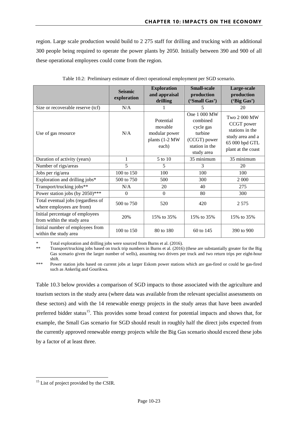region. Large scale production would build to 2 275 staff for drilling and trucking with an additional 300 people being required to operate the power plants by 2050. Initially between 390 and 900 of all these operational employees could come from the region.

<span id="page-23-0"></span>

|                                                                 | <b>Seismic</b><br>exploration | <b>Exploration</b><br>and appraisal<br>drilling                  | <b>Small-scale</b><br>production<br>('Small Gas')                                                | Large-scale<br>production<br>('Big Gas')                                                                  |
|-----------------------------------------------------------------|-------------------------------|------------------------------------------------------------------|--------------------------------------------------------------------------------------------------|-----------------------------------------------------------------------------------------------------------|
| Size or recoverable reserve (tcf)                               | N/A                           |                                                                  | 5                                                                                                | 20                                                                                                        |
| Use of gas resource                                             | N/A                           | Potential<br>movable<br>modular power<br>plants (1-2 MW<br>each) | One 1 000 MW<br>combined<br>cycle gas<br>turbine<br>(CCGT) power<br>station in the<br>study area | Two 2 000 MW<br>CCGT power<br>stations in the<br>study area and a<br>65 000 bpd GTL<br>plant at the coast |
| Duration of activity (years)                                    | 1                             | 5 to 10                                                          | 35 minimum                                                                                       | 35 minimum                                                                                                |
| Number of rigs/areas                                            | 5                             | 5                                                                | 3                                                                                                | 20                                                                                                        |
| Jobs per rig/area                                               | 100 to 150                    | 100                                                              | 100                                                                                              | 100                                                                                                       |
| Exploration and drilling jobs*                                  | 500 to 750                    | 500                                                              | 300                                                                                              | 2 0 0 0                                                                                                   |
| Transport/trucking jobs**                                       | N/A                           | 20                                                               | 40                                                                                               | 275                                                                                                       |
| Power station jobs (by 2050)***                                 | $\theta$                      | $\Omega$                                                         | 80                                                                                               | 300                                                                                                       |
| Total eventual jobs (regardless of<br>where employees are from) | 500 to 750                    | 520                                                              | 420                                                                                              | 2 5 7 5                                                                                                   |
| Initial percentage of employees<br>from within the study area   | 20%                           | 15% to 35%                                                       | 15% to 35%                                                                                       | 15% to 35%                                                                                                |
| Initial number of employees from<br>within the study area       | 100 to 150                    | 80 to 180                                                        | 60 to 145                                                                                        | 390 to 900                                                                                                |

Table 10.2: Preliminary estimate of direct operational employment per SGD scenario.

Total exploration and drilling jobs were sourced from Burns et al. (2016).

\*\* Transport/trucking jobs based on truck trip numbers in Burns et al. (2016) (these are substantially greater for the Big Gas scenario given the larger number of wells), assuming two drivers per truck and two return trips per eight-hour shift.

\*\*\* Power station jobs based on current jobs at larger Eskom power stations which are gas-fired or could be gas-fired such as Ankerlig and Gourikwa.

[Table 10.3](#page-24-0) below provides a comparison of SGD impacts to those associated with the agriculture and tourism sectors in the study area (where data was available from the relevant specialist assessments on these sectors) and with the 14 renewable energy projects in the study areas that have been awarded preferred bidder status<sup>15</sup>. This provides some broad context for potential impacts and shows that, for example, the Small Gas scenario for SGD should result in roughly half the direct jobs expected from the currently approved renewable energy projects while the Big Gas scenario should exceed these jobs by a factor of at least three.

**.** 

<span id="page-23-1"></span><sup>&</sup>lt;sup>15</sup> List of project provided by the CSIR.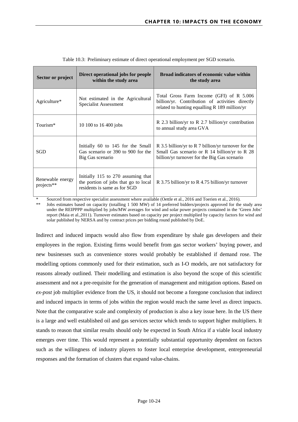<span id="page-24-0"></span>

| Sector or project              | Direct operational jobs for people<br>within the study area                                                | <b>Broad indicators of economic value within</b><br>the study area                                                                                   |  |  |
|--------------------------------|------------------------------------------------------------------------------------------------------------|------------------------------------------------------------------------------------------------------------------------------------------------------|--|--|
| Agriculture*                   | Not estimated in the Agricultural<br>Specialist Assessment                                                 | Total Gross Farm Income (GFI) of R 5.006<br>billion/yr. Contribution of activities directly<br>related to hunting equalling $R$ 189 million/yr       |  |  |
| Tourism*                       | 10 100 to 16 400 jobs                                                                                      | R 2.3 billion/yr to R 2.7 billion/yr contribution<br>to annual study area GVA                                                                        |  |  |
| <b>SGD</b>                     | Initially 60 to 145 for the Small<br>Gas scenario or 390 to 900 for the<br>Big Gas scenario                | R 3.5 billion/yr to R 7 billion/yr turnover for the<br>Small Gas scenario or R 14 billion/yr to R 28<br>billion/yr turnover for the Big Gas scenario |  |  |
| Renewable energy<br>projects** | Initially 115 to 270 assuming that<br>the portion of jobs that go to local<br>residents is same as for SGD | R 3.75 billion/yr to R 4.75 billion/yr turnover                                                                                                      |  |  |

Table 10.3: Preliminary estimate of direct operational employment per SGD scenario.

\* Sourced from respective specialist assessment where available (Oettle et al., 2016 and Toerien et al., 2016).<br>\*\* Jobs estimates based on capacity (totalling 1.500 MW) of 14 preferred bidders/projects approved for the

Jobs estimates based on capacity (totalling 1 500 MW) of 14 preferred bidders/projects approved for the study area under the REIPPPP multiplied by jobs/MW averages for wind and solar power projects contained in the 'Green Jobs' report (Maia et al.,2011). Turnover estimates based on capacity per project multiplied by capacity factors for wind and solar published by NERSA and by contract prices per bidding round published by DoE.

Indirect and induced impacts would also flow from expenditure by shale gas developers and their employees in the region. Existing firms would benefit from gas sector workers' buying power, and new businesses such as convenience stores would probably be established if demand rose. The modelling options commonly used for their estimation, such as I-O models, are not satisfactory for reasons already outlined. Their modelling and estimation is also beyond the scope of this scientific assessment and not a pre-requisite for the generation of management and mitigation options. Based on *ex-post* job multiplier evidence from the US, it should not become a foregone conclusion that indirect and induced impacts in terms of jobs within the region would reach the same level as direct impacts. Note that the comparative scale and complexity of production is also a key issue here. In the US there is a large and well established oil and gas services sector which tends to support higher multipliers. It stands to reason that similar results should only be expected in South Africa if a viable local industry emerges over time. This would represent a potentially substantial opportunity dependent on factors such as the willingness of industry players to foster local enterprise development, entrepreneurial responses and the formation of clusters that expand value-chains.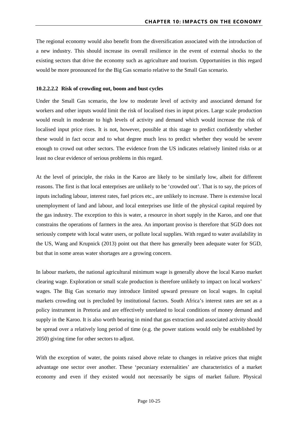The regional economy would also benefit from the diversification associated with the introduction of a new industry. This should increase its overall resilience in the event of external shocks to the existing sectors that drive the economy such as agriculture and tourism. Opportunities in this regard would be more pronounced for the Big Gas scenario relative to the Small Gas scenario.

#### **10.2.2.2.2 Risk of crowding out, boom and bust cycles**

Under the Small Gas scenario, the low to moderate level of activity and associated demand for workers and other inputs would limit the risk of localised rises in input prices. Large scale production would result in moderate to high levels of activity and demand which would increase the risk of localised input price rises. It is not, however, possible at this stage to predict confidently whether these would in fact occur and to what degree much less to predict whether they would be severe enough to crowd out other sectors. The evidence from the US indicates relatively limited risks or at least no clear evidence of serious problems in this regard.

At the level of principle, the risks in the Karoo are likely to be similarly low, albeit for different reasons. The first is that local enterprises are unlikely to be 'crowded out'. That is to say, the prices of inputs including labour, interest rates, fuel prices etc., are unlikely to increase. There is extensive local unemployment of land and labour, and local enterprises use little of the physical capital required by the gas industry. The exception to this is water, a resource in short supply in the Karoo, and one that constrains the operations of farmers in the area. An important proviso is therefore that SGD does not seriously compete with local water users, or pollute local supplies. With regard to water availability in the US, Wang and Krupnick (2013) point out that there has generally been adequate water for SGD, but that in some areas water shortages are a growing concern.

In labour markets, the national agricultural minimum wage is generally above the local Karoo market clearing wage. Exploration or small scale production is therefore unlikely to impact on local workers' wages. The Big Gas scenario may introduce limited upward pressure on local wages. In capital markets crowding out is precluded by institutional factors. South Africa's interest rates are set as a policy instrument in Pretoria and are effectively unrelated to local conditions of money demand and supply in the Karoo. It is also worth bearing in mind that gas extraction and associated activity should be spread over a relatively long period of time (e.g. the power stations would only be established by 2050) giving time for other sectors to adjust.

With the exception of water, the points raised above relate to changes in relative prices that might advantage one sector over another. These 'pecuniary externalities' are characteristics of a market economy and even if they existed would not necessarily be signs of market failure. Physical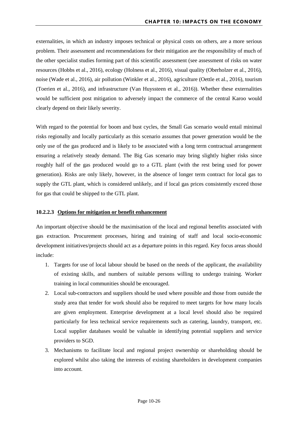externalities, in which an industry imposes technical or physical costs on others, are a more serious problem. Their assessment and recommendations for their mitigation are the responsibility of much of the other specialist studies forming part of this scientific assessment (see assessment of risks on water resources (Hobbs et al., 2016), ecology (Holness et al., 2016), visual quality (Oberholzer et al., 2016), noise (Wade et al., 2016), air pollution (Winkler et al., 2016), agriculture (Oettle et al., 2016), tourism (Toerien et al., 2016), and infrastructure (Van Huyssteen et al., 2016)). Whether these externalities would be sufficient post mitigation to adversely impact the commerce of the central Karoo would clearly depend on their likely severity.

With regard to the potential for boom and bust cycles, the Small Gas scenario would entail minimal risks regionally and locally particularly as this scenario assumes that power generation would be the only use of the gas produced and is likely to be associated with a long term contractual arrangement ensuring a relatively steady demand. The Big Gas scenario may bring slightly higher risks since roughly half of the gas produced would go to a GTL plant (with the rest being used for power generation). Risks are only likely, however, in the absence of longer term contract for local gas to supply the GTL plant, which is considered unlikely, and if local gas prices consistently exceed those for gas that could be shipped to the GTL plant.

#### <span id="page-26-0"></span>**10.2.2.3 Options for mitigation or benefit enhancement**

An important objective should be the maximisation of the local and regional benefits associated with gas extraction. Procurement processes, hiring and training of staff and local socio-economic development initiatives/projects should act as a departure points in this regard. Key focus areas should include:

- 1. Targets for use of local labour should be based on the needs of the applicant, the availability of existing skills, and numbers of suitable persons willing to undergo training. Worker training in local communities should be encouraged.
- 2. Local sub-contractors and suppliers should be used where possible and those from outside the study area that tender for work should also be required to meet targets for how many locals are given employment. Enterprise development at a local level should also be required particularly for less technical service requirements such as catering, laundry, transport, etc. Local supplier databases would be valuable in identifying potential suppliers and service providers to SGD.
- 3. Mechanisms to facilitate local and regional project ownership or shareholding should be explored whilst also taking the interests of existing shareholders in development companies into account.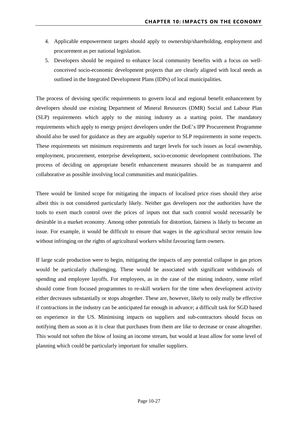- 4. Applicable empowerment targets should apply to ownership/shareholding, employment and procurement as per national legislation.
- 5. Developers should be required to enhance local community benefits with a focus on wellconceived socio-economic development projects that are clearly aligned with local needs as outlined in the Integrated Development Plans (IDPs) of local municipalities.

The process of devising specific requirements to govern local and regional benefit enhancement by developers should use existing Department of Mineral Resources (DMR) Social and Labour Plan (SLP) requirements which apply to the mining industry as a starting point. The mandatory requirements which apply to energy project developers under the DoE's IPP Procurement Programme should also be used for guidance as they are arguably superior to SLP requirements in some respects. These requirements set minimum requirements and target levels for such issues as local ownership, employment, procurement, enterprise development, socio-economic development contributions. The process of deciding on appropriate benefit enhancement measures should be as transparent and collaborative as possible involving local communities and municipalities.

There would be limited scope for mitigating the impacts of localised price rises should they arise albeit this is not considered particularly likely. Neither gas developers nor the authorities have the tools to exert much control over the prices of inputs not that such control would necessarily be desirable in a market economy. Among other potentials for distortion, fairness is likely to become an issue. For example, it would be difficult to ensure that wages in the agricultural sector remain low without infringing on the rights of agricultural workers whilst favouring farm owners.

If large scale production were to begin, mitigating the impacts of any potential collapse in gas prices would be particularly challenging. These would be associated with significant withdrawals of spending and employee layoffs. For employees, as in the case of the mining industry, some relief should come from focused programmes to re-skill workers for the time when development activity either decreases substantially or stops altogether. These are, however, likely to only really be effective if contractions in the industry can be anticipated far enough in advance; a difficult task for SGD based on experience in the US. Minimising impacts on suppliers and sub-contractors should focus on notifying them as soon as it is clear that purchases from them are like to decrease or cease altogether. This would not soften the blow of losing an income stream, but would at least allow for some level of planning which could be particularly important for smaller suppliers.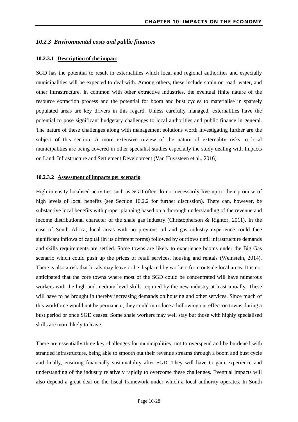#### <span id="page-28-0"></span>*10.2.3 Environmental costs and public finances*

#### <span id="page-28-1"></span>**10.2.3.1 Description of the impact**

SGD has the potential to result in externalities which local and regional authorities and especially municipalities will be expected to deal with. Among others, these include strain on road, water, and other infrastructure. In common with other extractive industries, the eventual finite nature of the resource extraction process and the potential for boom and bust cycles to materialise in sparsely populated areas are key drivers in this regard. Unless carefully managed, externalities have the potential to pose significant budgetary challenges to local authorities and public finance in general. The nature of these challenges along with management solutions worth investigating further are the subject of this section. A more extensive review of the nature of externality risks to local municipalities are being covered in other specialist studies especially the study dealing with Impacts on Land, Infrastructure and Settlement Development (Van Huyssteen et al., 2016).

#### <span id="page-28-2"></span>**10.2.3.2 Assessment of impacts per scenario**

High intensity localised activities such as SGD often do not necessarily live up to their promise of high levels of local benefits (see Section 10.2.2 for further discussion). There can, however, be substantive local benefits with proper planning based on a thorough understanding of the revenue and income distributional character of the shale gas industry (Christopherson & Rightor, 2011). In the case of South Africa, local areas with no previous oil and gas industry experience could face significant inflows of capital (in its different forms) followed by outflows until infrastructure demands and skills requirements are settled. Some towns are likely to experience booms under the Big Gas scenario which could push up the prices of retail services, housing and rentals (Weinstein, 2014). There is also a risk that locals may leave or be displaced by workers from outside local areas. It is not anticipated that the core towns where most of the SGD could be concentrated will have numerous workers with the high and medium level skills required by the new industry at least initially. These will have to be brought in thereby increasing demands on housing and other services. Since much of this workforce would not be permanent, they could introduce a hollowing out effect on towns during a bust period or once SGD ceases. Some shale workers may well stay but those with highly specialised skills are more likely to leave.

There are essentially three key challenges for municipalities: not to overspend and be burdened with stranded infrastructure, being able to smooth out their revenue streams through a boom and bust cycle and finally, ensuring financially sustainability after SGD. They will have to gain experience and understanding of the industry relatively rapidly to overcome these challenges. Eventual impacts will also depend a great deal on the fiscal framework under which a local authority operates. In South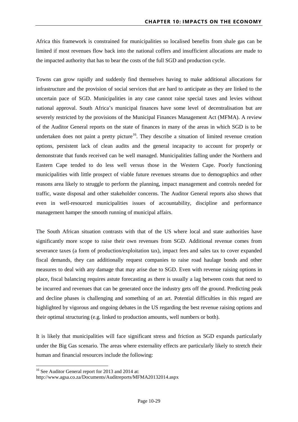Africa this framework is constrained for municipalities so localised benefits from shale gas can be limited if most revenues flow back into the national coffers and insufficient allocations are made to the impacted authority that has to bear the costs of the full SGD and production cycle.

Towns can grow rapidly and suddenly find themselves having to make additional allocations for infrastructure and the provision of social services that are hard to anticipate as they are linked to the uncertain pace of SGD. Municipalities in any case cannot raise special taxes and levies without national approval. South Africa's municipal finances have some level of decentralisation but are severely restricted by the provisions of the Municipal Finances Management Act (MFMA). A review of the Auditor General reports on the state of finances in many of the areas in which SGD is to be undertaken does not paint a pretty picture<sup>[16](#page-29-0)</sup>. They describe a situation of limited revenue creation options, persistent lack of clean audits and the general incapacity to account for properly or demonstrate that funds received can be well managed. Municipalities falling under the Northern and Eastern Cape tended to do less well versus those in the Western Cape. Poorly functioning municipalities with little prospect of viable future revenues streams due to demographics and other reasons area likely to struggle to perform the planning, impact management and controls needed for traffic, waste disposal and other stakeholder concerns. The Auditor General reports also shows that even in well-resourced municipalities issues of accountability, discipline and performance management hamper the smooth running of municipal affairs.

The South African situation contrasts with that of the US where local and state authorities have significantly more scope to raise their own revenues from SGD. Additional revenue comes from severance taxes (a form of production/exploitation tax), impact fees and sales tax to cover expanded fiscal demands, they can additionally request companies to raise road haulage bonds and other measures to deal with any damage that may arise due to SGD. Even with revenue raising options in place, fiscal balancing requires astute forecasting as there is usually a lag between costs that need to be incurred and revenues that can be generated once the industry gets off the ground. Predicting peak and decline phases is challenging and something of an art. Potential difficulties in this regard are highlighted by vigorous and ongoing debates in the US regarding the best revenue raising options and their optimal structuring (e.g. linked to production amounts, well numbers or both).

It is likely that municipalities will face significant stress and friction as SGD expands particularly under the Big Gas scenario. The areas where externality effects are particularly likely to stretch their human and financial resources include the following:

 $\overline{a}$ 

<span id="page-29-0"></span><sup>&</sup>lt;sup>16</sup> See Auditor General report for 2013 and 2014 at:

http://www.agsa.co.za/Documents/Auditreports/MFMA20132014.aspx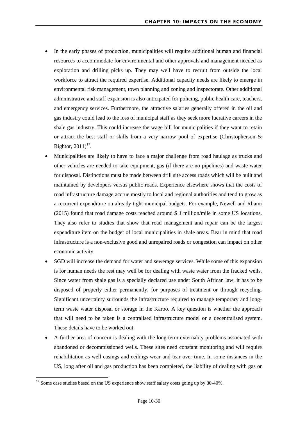- In the early phases of production, municipalities will require additional human and financial resources to accommodate for environmental and other approvals and management needed as exploration and drilling picks up. They may well have to recruit from outside the local workforce to attract the required expertise. Additional capacity needs are likely to emerge in environmental risk management, town planning and zoning and inspectorate. Other additional administrative and staff expansion is also anticipated for policing, public health care, teachers, and emergency services. Furthermore, the attractive salaries generally offered in the oil and gas industry could lead to the loss of municipal staff as they seek more lucrative careers in the shale gas industry. This could increase the wage bill for municipalities if they want to retain or attract the best staff or skills from a very narrow pool of expertise (Christopherson & Rightor,  $2011$ <sup>[17](#page-30-0)</sup>.
- Municipalities are likely to have to face a major challenge from road haulage as trucks and other vehicles are needed to take equipment, gas (if there are no pipelines) and waste water for disposal. Distinctions must be made between drill site access roads which will be built and maintained by developers versus public roads. Experience elsewhere shows that the costs of road infrastructure damage accrue mostly to local and regional authorities and tend to grow as a recurrent expenditure on already tight municipal budgets. For example, Newell and Rhami (2015) found that road damage costs reached around \$ 1 million/mile in some US locations. They also refer to studies that show that road management and repair can be the largest expenditure item on the budget of local municipalities in shale areas. Bear in mind that road infrastructure is a non-exclusive good and unrepaired roads or congestion can impact on other economic activity.
- SGD will increase the demand for water and sewerage services. While some of this expansion is for human needs the rest may well be for dealing with waste water from the fracked wells. Since water from shale gas is a specially declared use under South African law, it has to be disposed of properly either permanently, for purposes of treatment or through recycling. Significant uncertainty surrounds the infrastructure required to manage temporary and longterm waste water disposal or storage in the Karoo. A key question is whether the approach that will need to be taken is a centralised infrastructure model or a decentralised system. These details have to be worked out.
- A further area of concern is dealing with the long-term externality problems associated with abandoned or decommissioned wells. These sites need constant monitoring and will require rehabilitation as well casings and ceilings wear and tear over time. In some instances in the US, long after oil and gas production has been completed, the liability of dealing with gas or

**.** 

<span id="page-30-0"></span><sup>&</sup>lt;sup>17</sup> Some case studies based on the US experience show staff salary costs going up by 30-40%.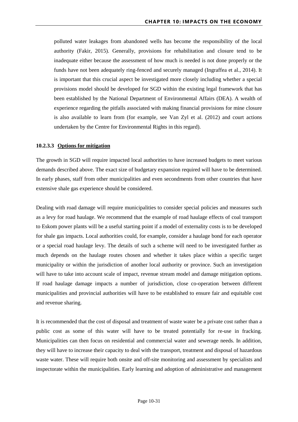polluted water leakages from abandoned wells has become the responsibility of the local authority (Fakir, 2015). Generally, provisions for rehabilitation and closure tend to be inadequate either because the assessment of how much is needed is not done properly or the funds have not been adequately ring-fenced and securely managed (Ingraffea et al., 2014). It is important that this crucial aspect be investigated more closely including whether a special provisions model should be developed for SGD within the existing legal framework that has been established by the National Department of Environmental Affairs (DEA). A wealth of experience regarding the pitfalls associated with making financial provisions for mine closure is also available to learn from (for example, see Van Zyl et al. (2012) and court actions undertaken by the Centre for Environmental Rights in this regard).

#### <span id="page-31-0"></span>**10.2.3.3 Options for mitigation**

The growth in SGD will require impacted local authorities to have increased budgets to meet various demands described above. The exact size of budgetary expansion required will have to be determined. In early phases, staff from other municipalities and even secondments from other countries that have extensive shale gas experience should be considered.

Dealing with road damage will require municipalities to consider special policies and measures such as a levy for road haulage. We recommend that the example of road haulage effects of coal transport to Eskom power plants will be a useful starting point if a model of externality costs is to be developed for shale gas impacts. Local authorities could, for example, consider a haulage bond for each operator or a special road haulage levy. The details of such a scheme will need to be investigated further as much depends on the haulage routes chosen and whether it takes place within a specific target municipality or within the jurisdiction of another local authority or province. Such an investigation will have to take into account scale of impact, revenue stream model and damage mitigation options. If road haulage damage impacts a number of jurisdiction, close co-operation between different municipalities and provincial authorities will have to be established to ensure fair and equitable cost and revenue sharing.

It is recommended that the cost of disposal and treatment of waste water be a private cost rather than a public cost as some of this water will have to be treated potentially for re-use in fracking. Municipalities can then focus on residential and commercial water and sewerage needs. In addition, they will have to increase their capacity to deal with the transport, treatment and disposal of hazardous waste water. These will require both onsite and off-site monitoring and assessment by specialists and inspectorate within the municipalities. Early learning and adoption of administrative and management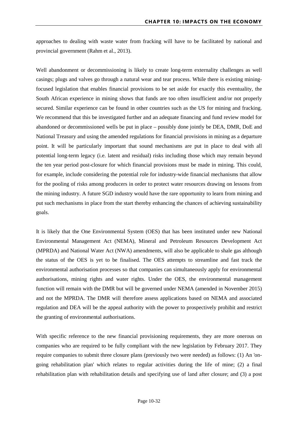approaches to dealing with waste water from fracking will have to be facilitated by national and provincial government (Rahm et al., 2013).

Well abandonment or decommissioning is likely to create long-term externality challenges as well casings; plugs and valves go through a natural wear and tear process. While there is existing miningfocused legislation that enables financial provisions to be set aside for exactly this eventuality, the South African experience in mining shows that funds are too often insufficient and/or not properly secured. Similar experience can be found in other countries such as the US for mining and fracking. We recommend that this be investigated further and an adequate financing and fund review model for abandoned or decommissioned wells be put in place – possibly done jointly be DEA, DMR, DoE and National Treasury and using the amended regulations for financial provisions in mining as a departure point. It will be particularly important that sound mechanisms are put in place to deal with all potential long-term legacy (i.e. latent and residual) risks including those which may remain beyond the ten year period post-closure for which financial provisions must be made in mining. This could, for example, include considering the potential role for industry-wide financial mechanisms that allow for the pooling of risks among producers in order to protect water resources drawing on lessons from the mining industry. A future SGD industry would have the rare opportunity to learn from mining and put such mechanisms in place from the start thereby enhancing the chances of achieving sustainability goals.

It is likely that the One Environmental System (OES) that has been instituted under new National Environmental Management Act (NEMA), Mineral and Petroleum Resources Development Act (MPRDA) and National Water Act (NWA) amendments, will also be applicable to shale gas although the status of the OES is yet to be finalised. The OES attempts to streamline and fast track the environmental authorisation processes so that companies can simultaneously apply for environmental authorisations, mining rights and water rights. Under the OES, the environmental management function will remain with the DMR but will be governed under NEMA (amended in November 2015) and not the MPRDA. The DMR will therefore assess applications based on NEMA and associated regulation and DEA will be the appeal authority with the power to prospectively prohibit and restrict the granting of environmental authorisations.

With specific reference to the new financial provisioning requirements, they are more onerous on companies who are required to be fully compliant with the new legislation by February 2017. They require companies to submit three closure plans (previously two were needed) as follows: (1) An 'ongoing rehabilitation plan' which relates to regular activities during the life of mine; (2) a final rehabilitation plan with rehabilitation details and specifying use of land after closure; and (3) a post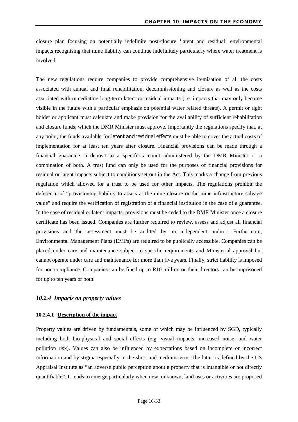closure plan focusing on potentially indefinite post-closure 'latent and residual' environmental impacts recognising that mine liability can continue indefinitely particularly where water treatment is involved.

The new regulations require companies to provide comprehensive itemisation of all the costs associated with annual and final rehabilitation, decommissioning and closure as well as the costs associated with remediating long-term latent or residual impacts (i.e. impacts that may only become visible in the future with a particular emphasis on potential water related threats). A permit or right holder or applicant must calculate and make provision for the availability of sufficient rehabilitation and closure funds, which the DMR Minister must approve. Importantly the regulations specify that, at any point, the funds available for latent and residual effects must be able to cover the actual costs of implementation for at least ten years after closure. Financial provisions can be made through a financial guarantee, a deposit to a specific account administered by the DMR Minister or a combination of both. A trust fund can only be used for the purposes of financial provisions for residual or latent impacts subject to conditions set out in the Act. This marks a change from previous regulation which allowed for a trust to be used for other impacts. The regulations prohibit the deference of "provisioning liability to assets at the mine closure or the mine infrastructure salvage value" and require the verification of registration of a financial institution in the case of a guarantee. In the case of residual or latent impacts, provisions must be ceded to the DMR Minister once a closure certificate has been issued. Companies are further required to review, assess and adjust all financial provisions and the assessment must be audited by an independent auditor. Furthermore, Environmental Management Plans (EMPs) are required to be publically accessible. Companies can be placed under care and maintenance subject to specific requirements and Ministerial approval but cannot operate under care and maintenance for more than five years. Finally, strict liability is imposed for non-compliance. Companies can be fined up to R10 million or their directors can be imprisoned for up to ten years or both.

#### <span id="page-33-0"></span>*10.2.4 Impacts on property values*

#### <span id="page-33-1"></span>**10.2.4.1 Description of the impact**

Property values are driven by fundamentals, some of which may be influenced by SGD, typically including both bio-physical and social effects (e.g. visual impacts, increased noise, and water pollution risk). Values can also be influenced by expectations based on incomplete or incorrect information and by stigma especially in the short and medium-term. The latter is defined by the US Appraisal Institute as "an adverse public perception about a property that is intangible or not directly quantifiable". It tends to emerge particularly when new, unknown, land uses or activities are proposed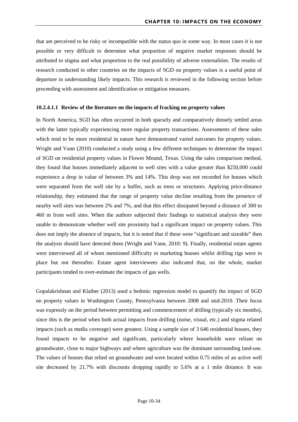that are perceived to be risky or incompatible with the status quo in some way. In most cases it is not possible or very difficult to determine what proportion of negative market responses should be attributed to stigma and what proportion to the real possibility of adverse externalities. The results of research conducted in other countries on the impacts of SGD on property values is a useful point of departure in understanding likely impacts. This research is reviewed in the following section before proceeding with assessment and identification or mitigation measures.

#### **10.2.4.1.1 Review of the literature on the impacts of fracking on property values**

In North America, SGD has often occurred in both sparsely and comparatively densely settled areas with the latter typically experiencing more regular property transactions. Assessments of these sales which tend to be more residential in nature have demonstrated varied outcomes for property values. Wright and Vann (2010) conducted a study using a few different techniques to determine the impact of SGD on residential property values in Flower Mound, Texas. Using the sales comparison method, they found that houses immediately adjacent to well sites with a value greater than \$250,000 could experience a drop in value of between 3% and 14%. This drop was not recorded for houses which were separated from the well site by a buffer, such as trees or structures. Applying price-distance relationship, they estimated that the range of property value decline resulting from the presence of nearby well sites was between 2% and 7%, and that this effect dissipated beyond a distance of 300 to 460 m from well sites. When the authors subjected their findings to statistical analysis they were unable to demonstrate whether well site proximity had a significant impact on property values. This does not imply the absence of impacts, but it is noted that if these were "significant and sizeable" then the analysis should have detected them (Wright and Vann, 2010: 9). Finally, residential estate agents were interviewed all of whom mentioned difficulty in marketing houses whilst drilling rigs were in place but not thereafter. Estate agent interviewees also indicated that, on the whole, market participants tended to over-estimate the impacts of gas wells.

Gopalakrishnan and Klaiber (2013) used a hedonic regression model to quantify the impact of SGD on property values in Washington County, Pennsylvania between 2008 and mid-2010. Their focus was expressly on the period between permitting and commencement of drilling (typically six months), since this is the period when both actual impacts from drilling (noise, visual, etc.) and stigma related impacts (such as media coverage) were greatest. Using a sample size of 3 646 residential houses, they found impacts to be negative and significant, particularly where households were reliant on groundwater, close to major highways and where agriculture was the dominant surrounding land-use. The values of houses that relied on groundwater and were located within 0.75 miles of an active well site decreased by 21.7% with discounts dropping rapidly to 5.6% at a 1 mile distance. It was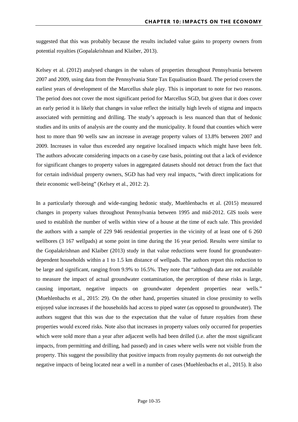suggested that this was probably because the results included value gains to property owners from potential royalties (Gopalakrishnan and Klaiber, 2013).

Kelsey et al. (2012) analysed changes in the values of properties throughout Pennsylvania between 2007 and 2009, using data from the Pennsylvania State Tax Equalisation Board. The period covers the earliest years of development of the Marcellus shale play. This is important to note for two reasons. The period does not cover the most significant period for Marcellus SGD, but given that it does cover an early period it is likely that changes in value reflect the initially high levels of stigma and impacts associated with permitting and drilling. The study's approach is less nuanced than that of hedonic studies and its units of analysis are the county and the municipality. It found that counties which were host to more than 90 wells saw an increase in average property values of 13.8% between 2007 and 2009. Increases in value thus exceeded any negative localised impacts which might have been felt. The authors advocate considering impacts on a case-by case basis, pointing out that a lack of evidence for significant changes to property values in aggregated datasets should not detract from the fact that for certain individual property owners, SGD has had very real impacts, "with direct implications for their economic well-being" (Kelsey et al., 2012: 2).

In a particularly thorough and wide-ranging hedonic study, Muehlenbachs et al. (2015) measured changes in property values throughout Pennsylvania between 1995 and mid-2012. GIS tools were used to establish the number of wells within view of a house at the time of each sale. This provided the authors with a sample of 229 946 residential properties in the vicinity of at least one of 6 260 wellbores (3 167 wellpads) at some point in time during the 16 year period. Results were similar to the Gopalakrishnan and Klaiber (2013) study in that value reductions were found for groundwaterdependent households within a 1 to 1.5 km distance of wellpads. The authors report this reduction to be large and significant, ranging from 9.9% to 16.5%. They note that "although data are not available to measure the impact of actual groundwater contamination, the perception of these risks is large, causing important, negative impacts on groundwater dependent properties near wells." (Muehlenbachs et al., 2015: 29). On the other hand, properties situated in close proximity to wells enjoyed value increases if the households had access to piped water (as opposed to groundwater). The authors suggest that this was due to the expectation that the value of future royalties from these properties would exceed risks. Note also that increases in property values only occurred for properties which were sold more than a year after adjacent wells had been drilled (i.e. after the most significant impacts, from permitting and drilling, had passed) and in cases where wells were not visible from the property. This suggest the possibility that positive impacts from royalty payments do not outweigh the negative impacts of being located near a well in a number of cases (Muehlenbachs et al., 2015). It also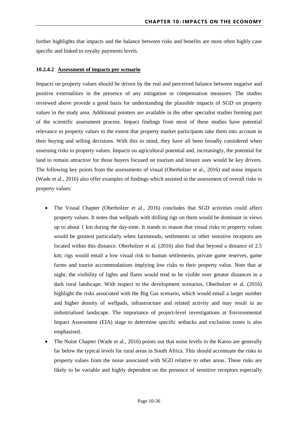further highlights that impacts and the balance between risks and benefits are most often highly case specific and linked to royalty payments levels.

#### <span id="page-36-0"></span>**10.2.4.2 Assessment of impacts per scenario**

Impacts on property values should be driven by the real and perceived balance between negative and positive externalities in the presence of any mitigation or compensation measures. The studies reviewed above provide a good basis for understanding the plausible impacts of SGD on property values in the study area. Additional pointers are available in the other specialist studies forming part of the scientific assessment process. Impact findings from most of these studies have potential relevance to property values to the extent that property market participants take them into account in their buying and selling decisions. With this in mind, they have all been broadly considered when assessing risks to property values. Impacts on agricultural potential and, increasingly, the potential for land to remain attractive for those buyers focused on tourism and leisure uses would be key drivers. The following key points from the assessments of visual (Oberholzer et al., 2016) and noise impacts (Wade et al., 2016) also offer examples of findings which assisted in the assessment of overall risks to property values:

- The Visual Chapter (Oberholzer et al., 2016) concludes that SGD activities could affect property values. It notes that wellpads with drilling rigs on them would be dominant in views up to about 1 km during the day-time. It stands to reason that visual risks to property values would be greatest particularly when farmsteads, settlements or other sensitive receptors are located within this distance. Oberholzer et al. (2016) also find that beyond a distance of 2.5 km; rigs would entail a low visual risk to human settlements, private game reserves, game farms and tourist accommodations implying low risks to their property value. Note that at night, the visibility of lights and flares would tend to be visible over greater distances in a dark rural landscape. With respect to the development scenarios, Oberholzer et al. (2016) highlight the risks associated with the Big Gas scenario, which would entail a larger number and higher density of wellpads, infrastructure and related activity and may result in an industrialised landscape. The importance of project-level investigations at Environmental Impact Assessment (EIA) stage to determine specific setbacks and exclusion zones is also emphasised.
- The Noise Chapter (Wade et al., 2016) points out that noise levels in the Karoo are generally far below the typical levels for rural areas in South Africa. This should accentuate the risks to property values from the noise associated with SGD relative to other areas. These risks are likely to be variable and highly dependent on the presence of sensitive receptors especially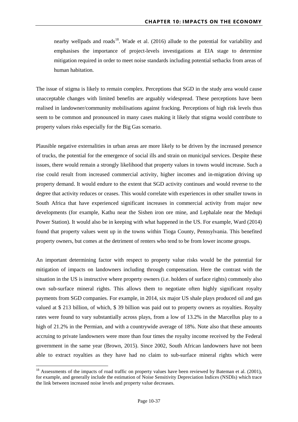nearby wellpads and roads<sup>[18](#page-37-0)</sup>. Wade et al.  $(2016)$  allude to the potential for variability and emphasises the importance of project-levels investigations at EIA stage to determine mitigation required in order to meet noise standards including potential setbacks from areas of human habitation.

The issue of stigma is likely to remain complex. Perceptions that SGD in the study area would cause unacceptable changes with limited benefits are arguably widespread. These perceptions have been realised in landowner/community mobilisations against fracking. Perceptions of high risk levels thus seem to be common and pronounced in many cases making it likely that stigma would contribute to property values risks especially for the Big Gas scenario.

Plausible negative externalities in urban areas are more likely to be driven by the increased presence of trucks, the potential for the emergence of social ills and strain on municipal services. Despite these issues, there would remain a strongly likelihood that property values in towns would increase. Such a rise could result from increased commercial activity, higher incomes and in-migration driving up property demand. It would endure to the extent that SGD activity continues and would reverse to the degree that activity reduces or ceases. This would correlate with experiences in other smaller towns in South Africa that have experienced significant increases in commercial activity from major new developments (for example, Kathu near the Sishen iron ore mine, and Lephalale near the Medupi Power Station). It would also be in keeping with what happened in the US. For example, Ward (2014) found that property values went up in the towns within Tioga County, Pennsylvania. This benefited property owners, but comes at the detriment of renters who tend to be from lower income groups.

An important determining factor with respect to property value risks would be the potential for mitigation of impacts on landowners including through compensation. Here the contrast with the situation in the US is instructive where property owners (i.e. holders of surface rights) commonly also own sub-surface mineral rights. This allows them to negotiate often highly significant royalty payments from SGD companies. For example, in 2014, six major US shale plays produced oil and gas valued at \$ 213 billion, of which, \$ 39 billion was paid out to property owners as royalties. Royalty rates were found to vary substantially across plays, from a low of 13.2% in the Marcellus play to a high of 21.2% in the Permian, and with a countrywide average of 18%. Note also that these amounts accruing to private landowners were more than four times the royalty income received by the Federal government in the same year (Brown, 2015). Since 2002, South African landowners have not been able to extract royalties as they have had no claim to sub-surface mineral rights which were

 $\overline{a}$ 

<span id="page-37-0"></span><sup>&</sup>lt;sup>18</sup> Assessments of the impacts of road traffic on property values have been reviewed by Bateman et al. (2001), for example, and generally include the estimation of Noise Sensitivity Depreciation Indices (NSDIs) which trace the link between increased noise levels and property value decreases.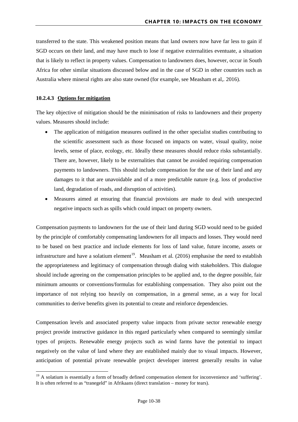transferred to the state. This weakened position means that land owners now have far less to gain if SGD occurs on their land, and may have much to lose if negative externalities eventuate, a situation that is likely to reflect in property values. Compensation to landowners does, however, occur in South Africa for other similar situations discussed below and in the case of SGD in other countries such as Australia where mineral rights are also state owned (for example, see Measham et al,*.* 2016).

#### <span id="page-38-0"></span>**10.2.4.3 Options for mitigation**

 $\overline{a}$ 

The key objective of mitigation should be the minimisation of risks to landowners and their property values. Measures should include:

- The application of mitigation measures outlined in the other specialist studies contributing to the scientific assessment such as those focused on impacts on water, visual quality, noise levels, sense of place, ecology, etc. Ideally these measures should reduce risks substantially. There are, however, likely to be externalities that cannot be avoided requiring compensation payments to landowners. This should include compensation for the use of their land and any damages to it that are unavoidable and of a more predictable nature (e.g. loss of productive land, degradation of roads, and disruption of activities).
- Measures aimed at ensuring that financial provisions are made to deal with unexpected negative impacts such as spills which could impact on property owners.

Compensation payments to landowners for the use of their land during SGD would need to be guided by the principle of comfortably compensating landowners for all impacts and losses. They would need to be based on best practice and include elements for loss of land value, future income, assets or infrastructure and have a solatium element<sup>19</sup>. Measham et al.  $(2016)$  emphasise the need to establish the appropriateness and legitimacy of compensation through dialog with stakeholders. This dialogue should include agreeing on the compensation principles to be applied and, to the degree possible, fair minimum amounts or conventions/formulas for establishing compensation. They also point out the importance of not relying too heavily on compensation, in a general sense, as a way for local communities to derive benefits given its potential to create and reinforce dependencies.

Compensation levels and associated property value impacts from private sector renewable energy project provide instructive guidance in this regard particularly when compared to seemingly similar types of projects. Renewable energy projects such as wind farms have the potential to impact negatively on the value of land where they are established mainly due to visual impacts. However, anticipation of potential private renewable project developer interest generally results in value

<span id="page-38-1"></span><sup>&</sup>lt;sup>19</sup> A solatium is essentially a form of broadly defined [compensation](https://en.wikipedia.org/wiki/Damages) element for inconvenience and 'suffering'. It is often referred to as "tranegeld" in Afrikaans (direct translation – money for tears).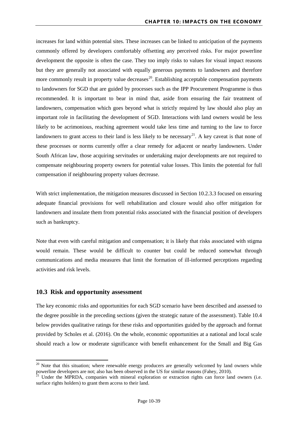increases for land within potential sites. These increases can be linked to anticipation of the payments commonly offered by developers comfortably offsetting any perceived risks. For major powerline development the opposite is often the case. They too imply risks to values for visual impact reasons but they are generally not associated with equally generous payments to landowners and therefore more commonly result in property value decreases<sup>[20](#page-39-1)</sup>. Establishing acceptable compensation payments to landowners for SGD that are guided by processes such as the IPP Procurement Programme is thus recommended. It is important to bear in mind that, aside from ensuring the fair treatment of landowners, compensation which goes beyond what is strictly required by law should also play an important role in facilitating the development of SGD. Interactions with land owners would be less likely to be acrimonious, reaching agreement would take less time and turning to the law to force landowners to grant access to their land is less likely to be necessary<sup>21</sup>. A key caveat is that none of these processes or norms currently offer a clear remedy for adjacent or nearby landowners. Under South African law, those acquiring servitudes or undertaking major developments are not required to compensate neighbouring property owners for potential value losses. This limits the potential for full compensation if neighbouring property values decrease.

With strict implementation, the mitigation measures discussed in Section [10.2.3.3](#page-31-0) focused on ensuring adequate financial provisions for well rehabilitation and closure would also offer mitigation for landowners and insulate them from potential risks associated with the financial position of developers such as bankruptcy.

Note that even with careful mitigation and compensation; it is likely that risks associated with stigma would remain. These would be difficult to counter but could be reduced somewhat through communications and media measures that limit the formation of ill-informed perceptions regarding activities and risk levels.

#### <span id="page-39-0"></span>**10.3 Risk and opportunity assessment**

<u>.</u>

The key economic risks and opportunities for each SGD scenario have been described and assessed to the degree possible in the preceding sections (given the strategic nature of the assessment). Table 10.4 below provides qualitative ratings for these risks and opportunities guided by the approach and format provided by Scholes et al. (2016). On the whole, economic opportunities at a national and local scale should reach a low or moderate significance with benefit enhancement for the Small and Big Gas

<span id="page-39-1"></span><sup>&</sup>lt;sup>20</sup> Note that this situation; where renewable energy producers are generally welcomed by land owners while powerline developers are not; also has been observed in the US for similar reasons (Fahey, 2010).

<span id="page-39-2"></span><sup>&</sup>lt;sup>21</sup> Under the MPRDA, companies with mineral exploration or extraction rights can force land owners (i.e. surface rights holders) to grant them access to their land.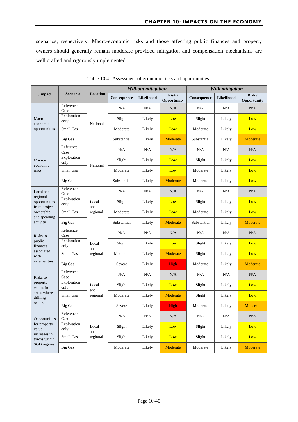scenarios, respectively. Macro-economic risks and those affecting public finances and property owners should generally remain moderate provided mitigation and compensation mechanisms are well crafted and rigorously implemented.

<span id="page-40-0"></span>

|                                                            |                     | <b>Location</b>          |             | Without mitigation |                      | With mitigation |                   |                      |
|------------------------------------------------------------|---------------------|--------------------------|-------------|--------------------|----------------------|-----------------|-------------------|----------------------|
| .Impact                                                    | <b>Scenario</b>     |                          | Consequence | Likelihood         | Risk/<br>Opportunity | Consequence     | <b>Likelihood</b> | Risk/<br>Opportunity |
| Macro-<br>economic<br>opportunities                        | Reference<br>Case   | National                 | N/A         | N/A                | N/A                  | N/A             | N/A               | N/A                  |
|                                                            | Exploration<br>only |                          | Slight      | Likely             | Low                  | Slight          | Likely            | Low                  |
|                                                            | Small Gas           |                          | Moderate    | Likely             | Low                  | Moderate        | Likely            | Low                  |
|                                                            | <b>Big Gas</b>      |                          | Substantial | Likely             | Moderate             | Substantial     | Likely            | Moderate             |
|                                                            | Reference<br>Case   |                          | N/A         | N/A                | N/A                  | N/A             | N/A               | N/A                  |
| Macro-<br>economic                                         | Exploration<br>only | National                 | Slight      | Likely             | Low                  | Slight          | Likely            | Low                  |
| risks                                                      | Small Gas           |                          | Moderate    | Likely             | Low                  | Moderate        | Likely            | Low                  |
|                                                            | <b>Big Gas</b>      |                          | Substantial | Likely             | Moderate             | Moderate        | Likely            | Low                  |
| Local and<br>regional                                      | Reference<br>Case   | Local<br>and<br>regional | N/A         | N/A                | N/A                  | N/A             | N/A               | N/A                  |
| opportunities                                              | Exploration<br>only |                          | Slight      | Likely             | Low                  | Slight          | Likely            | Low                  |
| from project<br>ownership<br>and spending                  | Small Gas           |                          | Moderate    | Likely             | Low                  | Moderate        | Likely            | Low                  |
| activity                                                   | <b>Big Gas</b>      |                          | Substantial | Likely             | Moderate             | Substantial     | Likely            | Moderate             |
| Risks to                                                   | Reference<br>Case   | Local<br>and<br>regional | N/A         | N/A                | N/A                  | N/A             | N/A               | N/A                  |
| public<br>finances                                         | Exploration<br>only |                          | Slight      | Likely             | Low                  | Slight          | Likely            | Low                  |
| associated<br>with<br>externalities                        | Small Gas           |                          | Moderate    | Likely             | Moderate             | Slight          | Likely            | Low                  |
|                                                            | <b>Big Gas</b>      |                          | Severe      | Likely             | High                 | Moderate        | Likely            | Moderate             |
| Risks to                                                   | Reference<br>Case   | Local<br>and             | N/A         | N/A                | N/A                  | N/A             | N/A               | N/A                  |
| property<br>values in<br>areas where<br>drilling<br>occurs | Exploration<br>only |                          | Slight      | Likely             | Low                  | Slight          | Likely            | Low                  |
|                                                            | Small Gas           | regional                 | Moderate    | Likely             | Moderate             | Slight          | Likely            | Low                  |
|                                                            | <b>Big Gas</b>      |                          | Severe      | Likely             | High                 | Moderate        | Likely            | Moderate             |
| Opportunities<br>for property<br>value                     | Reference<br>Case   | Local                    | $\rm N/A$   | $\rm N/A$          | $\rm N/A$            | $\rm N/A$       | $\rm N/A$         | $\rm N/A$            |
|                                                            | Exploration<br>only |                          | Slight      | Likely             | Low                  | Slight          | Likely            | Low                  |
| increases in<br>towns within                               | Small Gas           | and<br>regional          | Slight      | Likely             | Low                  | Slight          | Likely            | Low                  |
| SGD regions                                                | <b>Big Gas</b>      |                          | Moderate    | Likely             | Moderate             | Moderate        | Likely            | Moderate             |

Table 10.4: Assessment of economic risks and opportunities.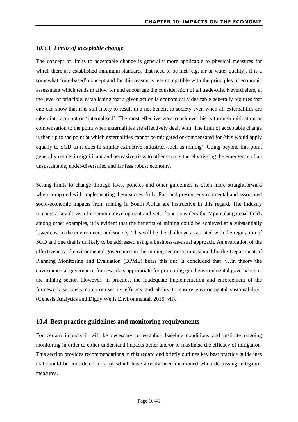#### <span id="page-41-0"></span>*10.3.1 Limits of acceptable change*

The concept of limits to acceptable change is generally more applicable to physical measures for which there are established minimum standards that need to be met (e.g. air or water quality). It is a somewhat 'rule-based' concept and for this reason is less compatible with the principles of economic assessment which tends to allow for and encourage the consideration of all trade-offs. Nevertheless, at the level of principle, establishing that a given action is economically desirable generally requires that one can show that it is still likely to result in a net benefit to society even when all externalities are taken into account or 'internalised'. The most effective way to achieve this is through mitigation or compensation to the point when externalities are effectively dealt with. The limit of acceptable change is then up to the point at which externalities cannot be mitigated or compensated for (this would apply equally to SGD as it does to similar extractive industries such as mining). Going beyond this point generally results in significant and pervasive risks to other sectors thereby risking the emergence of an unsustainable, under-diversified and far less robust economy.

Setting limits to change through laws, policies and other guidelines is often more straightforward when compared with implementing them successfully. Past and present environmental and associated socio-economic impacts from mining in South Africa are instructive in this regard. The industry remains a key driver of economic development and yet, if one considers the Mpumalanga coal fields among other examples, it is evident that the benefits of mining could be achieved at a substantially lower cost to the environment and society. This will be the challenge associated with the regulation of SGD and one that is unlikely to be addressed using a business-as-usual approach. An evaluation of the effectiveness of environmental governance in the mining sector commissioned by the Department of Planning Monitoring and Evaluation (DPME) bears this out. It concluded that "…in theory the environmental governance framework is appropriate for promoting good environmental governance in the mining sector. However, in practice, the inadequate implementation and enforcement of the framework seriously compromises its efficacy and ability to ensure environmental sustainability" (Genesis Analytics and Digby Wells Environmental, 2015: vii).

#### <span id="page-41-1"></span>**10.4 Best practice guidelines and monitoring requirements**

For certain impacts it will be necessary to establish baseline conditions and institute ongoing monitoring in order to either understand impacts better and/or to maximise the efficacy of mitigation. This section provides recommendations in this regard and briefly outlines key best practice guidelines that should be considered most of which have already been mentioned when discussing mitigation measures.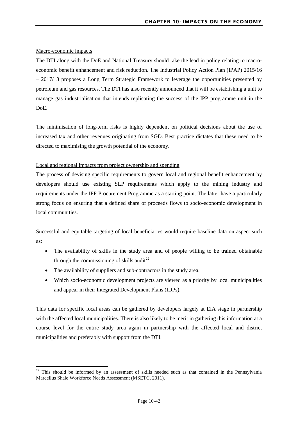#### Macro-economic impacts

**.** 

The DTI along with the DoE and National Treasury should take the lead in policy relating to macroeconomic benefit enhancement and risk reduction. The Industrial Policy Action Plan (IPAP) 2015/16 – 2017/18 proposes a Long Term Strategic Framework to leverage the opportunities presented by petroleum and gas resources. The DTI has also recently announced that it will be establishing a unit to manage gas industrialisation that intends replicating the success of the IPP programme unit in the DoE.

The minimisation of long-term risks is highly dependent on political decisions about the use of increased tax and other revenues originating from SGD. Best practice dictates that these need to be directed to maximising the growth potential of the economy.

#### Local and regional impacts from project ownership and spending

The process of devising specific requirements to govern local and regional benefit enhancement by developers should use existing SLP requirements which apply to the mining industry and requirements under the IPP Procurement Programme as a starting point. The latter have a particularly strong focus on ensuring that a defined share of proceeds flows to socio-economic development in local communities.

Successful and equitable targeting of local beneficiaries would require baseline data on aspect such as:

- The availability of skills in the study area and of people willing to be trained obtainable through the commissioning of skills audit<sup>[22](#page-42-0)</sup>.
- The availability of suppliers and sub-contractors in the study area.
- Which socio-economic development projects are viewed as a priority by local municipalities and appear in their Integrated Development Plans (IDPs).

This data for specific local areas can be gathered by developers largely at EIA stage in partnership with the affected local municipalities. There is also likely to be merit in gathering this information at a course level for the entire study area again in partnership with the affected local and district municipalities and preferably with support from the DTI.

<span id="page-42-0"></span><sup>&</sup>lt;sup>22</sup> This should be informed by an assessment of skills needed such as that contained in the Pennsylvania Marcellus Shale Workforce Needs Assessment (MSETC, 2011).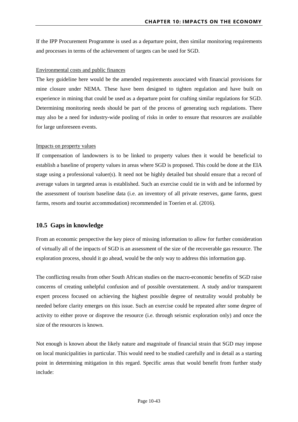If the IPP Procurement Programme is used as a departure point, then similar monitoring requirements and processes in terms of the achievement of targets can be used for SGD.

#### Environmental costs and public finances

The key guideline here would be the amended requirements associated with financial provisions for mine closure under NEMA. These have been designed to tighten regulation and have built on experience in mining that could be used as a departure point for crafting similar regulations for SGD. Determining monitoring needs should be part of the process of generating such regulations. There may also be a need for industry-wide pooling of risks in order to ensure that resources are available for large unforeseen events.

#### Impacts on property values

If compensation of landowners is to be linked to property values then it would be beneficial to establish a baseline of property values in areas where SGD is proposed. This could be done at the EIA stage using a professional valuer(s). It need not be highly detailed but should ensure that a record of average values in targeted areas is established. Such an exercise could tie in with and be informed by the assessment of tourism baseline data (i.e. an inventory of all private reserves, game farms, guest farms, resorts and tourist accommodation) recommended in Toerien et al. (2016).

#### <span id="page-43-0"></span>**10.5 Gaps in knowledge**

From an economic perspective the key piece of missing information to allow for further consideration of virtually all of the impacts of SGD is an assessment of the size of the recoverable gas resource. The exploration process, should it go ahead, would be the only way to address this information gap.

The conflicting results from other South African studies on the macro-economic benefits of SGD raise concerns of creating unhelpful confusion and of possible overstatement. A study and/or transparent expert process focused on achieving the highest possible degree of neutrality would probably be needed before clarity emerges on this issue. Such an exercise could be repeated after some degree of activity to either prove or disprove the resource (i.e. through seismic exploration only) and once the size of the resources is known.

Not enough is known about the likely nature and magnitude of financial strain that SGD may impose on local municipalities in particular. This would need to be studied carefully and in detail as a starting point in determining mitigation in this regard. Specific areas that would benefit from further study include: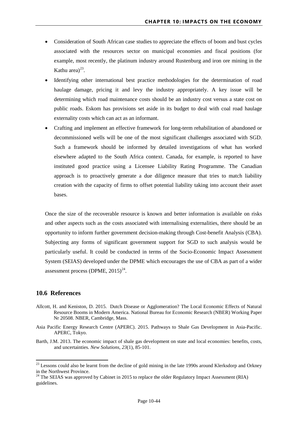- Consideration of South African case studies to appreciate the effects of boom and bust cycles associated with the resources sector on municipal economies and fiscal positions (for example, most recently, the platinum industry around Rustenburg and iron ore mining in the Kathu area $)^{23}$  $)^{23}$  $)^{23}$ .
- Identifying other international best practice methodologies for the determination of road haulage damage, pricing it and levy the industry appropriately. A key issue will be determining which road maintenance costs should be an industry cost versus a state cost on public roads. Eskom has provisions set aside in its budget to deal with coal road haulage externality costs which can act as an informant.
- Crafting and implement an effective framework for long-term rehabilitation of abandoned or decommissioned wells will be one of the most significant challenges associated with SGD. Such a framework should be informed by detailed investigations of what has worked elsewhere adapted to the South Africa context. Canada, for example, is reported to have instituted good practice using a Licensee Liability Rating Programme. The Canadian approach is to proactively generate a due diligence measure that tries to match liability creation with the capacity of firms to offset potential liability taking into account their asset bases.

Once the size of the recoverable resource is known and better information is available on risks and other aspects such as the costs associated with internalising externalities, there should be an opportunity to inform further government decision-making through Cost-benefit Analysis (CBA). Subjecting any forms of significant government support for SGD to such analysis would be particularly useful. It could be conducted in terms of the Socio-Economic Impact Assessment System (SEIAS) developed under the DPME which encourages the use of CBA as part of a wider assessment process (DPME,  $2015)^{24}$  $2015)^{24}$  $2015)^{24}$ .

#### <span id="page-44-0"></span>**10.6 References**

<u>.</u>

- Allcott, H. and Keniston, D. 2015. Dutch Disease or Agglomeration? The Local Economic Effects of Natural Resource Booms in Modern America. National Bureau for Economic Research (NBER) Working Paper Nr 20508. NBER, Cambridge, Mass.
- Asia Pacific Energy Research Centre (APERC). 2015. Pathways to Shale Gas Development in Asia-Pacific. APERC, Tokyo.
- Barth, J.M. 2013. The economic impact of shale gas development on state and local economies: benefits, costs, and uncertainties. *New Solutions*, *23*(1), 85-101.

<span id="page-44-1"></span><sup>&</sup>lt;sup>23</sup> Lessons could also be learnt from the decline of gold mining in the late 1990s around Klerksdorp and Orkney in the Northwest Province.<br><sup>24</sup> The SEIAS was approved by Cabinet in 2015 to replace the older Regulatory Impact Assessment (RIA)

<span id="page-44-2"></span>guidelines.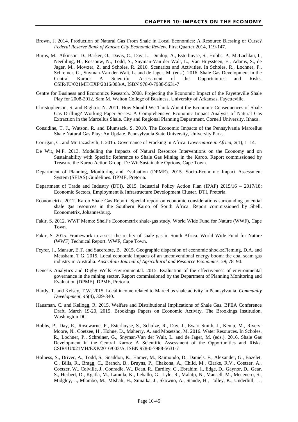- Brown, J. 2014. Production of Natural Gas From Shale in Local Economies: A Resource Blessing or Curse? *Federal Reserve Bank of Kansas City Economic Review*, First Quarter 2014, 119-147.
- Burns, M., Atkinson, D., Barker, O., Davis, C., Day, L., Dunlop, A., Esterhuyse, S., Hobbs, P., McLachlan, I., Neethling, H., Rossouw, N., Todd, S., Snyman-Van der Walt, L., Van Huyssteen, E., Adams, S., de Jager, M., Mowzer, Z. and Scholes, R. 2016. Scenarios and Activities. In Scholes, R., Lochner, P., Schreiner, G., Snyman-Van der Walt, L. and de Jager, M. (eds.). 2016. Shale Gas Development in the Central Karoo: A Scientific Assessment of the Opportunities and Risks. CSIR/IU/021MH/EXP/2016/003/A, ISBN 978-0-7988-5631-7
- Centre for Business and Economics Research. 2008. Projecting the Economic Impact of the Fayetteville Shale Play for 2008-2012, Sam M. Walton College of Business, University of Arkansas, Fayetteville.
- Christopherson, S. and Rightor, N. 2011. How Should We Think About the Economic Consequences of Shale Gas Drilling? Working Paper Series: A Comprehensive Economic Impact Analysis of Natural Gas Extraction in the Marcellus Shale. City and Regional Planning Department, Cornell University, Ithaca.
- Considine, T. J., Watson, R. and Blumsack, S. 2010. The Economic Impacts of the Pennsylvania Marcellus Shale Natural Gas Play: An Update. Pennsylvania State University, University Park.
- Corrigan, C. and Murtazashvili, I. 2015. Governance of Fracking in Africa. *Governance in Africa*, *2*(1), 1–14.
- De Wit, M.P. 2013. Modelling the Impacts of Natural Resource Interventions on the Economy and on Sustainability with Specific Reference to Shale Gas Mining in the Karoo. Report commissioned by Treasure the Karoo Action Group. De Wit Sustainable Options, Cape Town.
- Department of Planning, Monitoring and Evaluation (DPME). 2015. Socio-Economic Impact Assessment System (SEIAS) Guidelines. DPME, Pretoria.
- Department of Trade and Industry (DTI). 2015. Industrial Policy Action Plan (IPAP) 2015/16 2017/18: Economic Sectors, Employment & Infrastructure Development Cluster. DTI, Pretoria.
- Econometrix. 2012. Karoo Shale Gas Report: Special report on economic considerations surrounding potential shale gas resources in the Southern Karoo of South Africa. Report commissioned by Shell. Econometrix, Johannesburg.
- Fakir, S. 2012. WWF Memo: Shell's Econometrix shale-gas study. World Wide Fund for Nature (WWF), Cape Town.
- Fakir, S. 2015. Framework to assess the reality of shale gas in South Africa. World Wide Fund for Nature (WWF) Technical Report. WWF, Cape Town.
- Feyrer, J., Mansur, E.T. and Sacerdote, B. 2015. Geographic dispersion of economic shocks:Fleming, D.A. and Measham, T.G. 2015. Local economic impacts of an unconventional energy boom: the coal seam gas industry in Australia. *Australian Journal of Agricultural and Resource Economics*, *59*, 78–94.
- Genesis Analytics and Digby Wells Environmental. 2015. Evaluation of the effectiveness of environmental governance in the mining sector. Report commissioned by the Department of Planning Monitoring and Evaluation (DPME). DPME, Pretoria.
- Hardy, T. and Kelsey, T.W. 2015. Local income related to Marcellus shale activity in Pennsylvania. *Community Development*, *46*(4), 329-340.
- Hausman, C. and Kellogg, R. 2015. Welfare and Distributional Implications of Shale Gas. BPEA Conference Draft, March 19-20, 2015. Brookings Papers on Economic Activity. The Brookings Institution, Washington DC.
- Hobbs, P., Day, E., Rosewarne, P., Esterhuyse, S., Schulze, R., Day, J., Ewart-Smith, J., Kemp, M., Rivers-Moore, N., Coetzee, H., Hohne, D., Maherry, A. and Mosetsho, M. 2016. Water Resources. In Scholes, R., Lochner, P., Schreiner, G., Snyman-Van der Walt, L. and de Jager, M. (eds.). 2016. Shale Gas Development in the Central Karoo: A Scientific Assessment of the Opportunities and Risks. CSIR/IU/021MH/EXP/2016/003/A, ISBN 978-0-7988-5631-7
- Holness, S., Driver, A., Todd, S., Snaddon, K., Hamer, M., Raimondo, D., Daniels, F., Alexander, G., Bazelet, C., Bills, R., Bragg, C., Branch, B., Bruyns, P., Chakona, A., Child, M., Clarke, R.V., Coetzer, A., Coetzer, W., Colville, J., Conradie, W., Dean, R., Eardley, C., Ebrahim, I., Edge, D., Gaynor, D., Gear, S., Herbert, D., Kgatla, M., Lamula, K., Leballo, G., Lyle, R., Malatji, N., Mansell, M., Mecenero, S., Midgley, J., Mlambo, M., Mtshali, H., Simaika, J., Skowno, A., Staude, H., Tolley, K., Underhill, L.,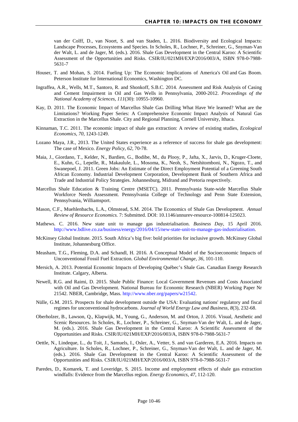van der Colff, D., van Noort, S. and van Staden, L. 2016. Biodiversity and Ecological Impacts: Landscape Processes, Ecosystems and Species. In Scholes, R., Lochner, P., Schreiner, G., Snyman-Van der Walt, L. and de Jager, M. (eds.). 2016. Shale Gas Development in the Central Karoo: A Scientific Assessment of the Opportunities and Risks. CSIR/IU/021MH/EXP/2016/003/A, ISBN 978-0-7988- 5631-7

- Houser, T. and Mohan, S. 2014. Fueling Up: The Economic Implications of America's Oil and Gas Boom. Peterson Institute for International Economics, Washington DC.
- Ingraffea, A.R., Wells, M.T., Santoro, R. and Shonkoff, S.B.C. 2014. Assessment and Risk Analysis of Casing and Cement Impairment in Oil and Gas Wells in Pennsylvania, 2000-2012. *Proceedings of the National Academy of Sciences*, *111*(30): 10955-10960.
- Kay, D. 2011. The Economic Impact of Marcellus Shale Gas Drilling What Have We learned? What are the Limitations? Working Paper Series: A Comprehensive Economic Impact Analysis of Natural Gas Extraction in the Marcellus Shale. City and Regional Planning, Cornell University, Ithaca.
- Kinnaman, T.C. 2011. The economic impact of shale gas extraction: A review of existing studies, *Ecological Economics*, *70*, 1243-1249.
- Lozano Maya, J.R., 2013. The United States experience as a reference of success for shale gas development: The case of Mexico. *Energy Policy*, *62*, 70-78.
- Maia, J., Giordano, T., Kelder, N., Bardien, G., Bodibe, M., du Plooy, P., Jafta, X., Jarvis, D., Kruger-Cloete, E., Kuhn, G., Lepelle, R., Makaulule, L., Mosoma, K., Neoh, S., Netshitomboni, N., Ngozo, T., and Swanepoel, J. 2011. Green Jobs: An Estimate of the Direct Employment Potential of a Greening South African Economy. Industrial Development Corporation, Development Bank of Southern Africa and Trade and Industrial Policy Strategies. Johannesburg, Midrand and Pretoria respectively.
- Marcellus Shale Education & Training Centre (MSETC). 2011. Pennsylvania State-wide Marcellus Shale Workforce Needs Assessment. Pennsylvania College of Technology and Penn State Extension, Pennsylvania, Williamsport.
- Mason, C.F., Muehlenbachs, L.A., Olmstead, S.M. 2014. The Economics of Shale Gas Development. *Annual Review of Resource Economics.* 7: Submitted. DOI: 10.1146/annurev-resource-100814-125023.
- Mathews. C. 2016. New state unit to manage gas industrialisation. *Business Day*, 15 April 2016. [http://www.bdlive.co.za/business/energy/2016/04/15/new-state-unit-to-manage-gas-industrialisation.](http://www.bdlive.co.za/business/energy/2016/04/15/new-state-unit-to-manage-gas-industrialisation)
- McKinsey Global Institute. 2015. South Africa's big five: bold priorities for inclusive growth. McKinsey Global Institute, Johannesburg Office.
- Measham, T.G., Fleming, D.A. and Schandl, H. 2016. A Conceptual Model of the Socioeconomic Impacts of Unconventional Fossil Fuel Extraction. *Global Environmental Change, 36*, 101-110.
- Mersich, A. 2013. Potential Economic Impacts of Developing Québec's Shale Gas. Canadian Energy Research Institute. Calgary, Alberta.
- Newell, R.G. and Raimi, D. 2015. Shale Public Finance: Local Government Revenues and Costs Associated with Oil and Gas Development. National Bureau for Economic Research (NBER) Working Paper Nr 21542. NBER, Cambridge, Mass. [http://www.nber.org/papers/w21542.](http://www.nber.org/papers/w21542)
- Nülle, G.M. 2015. Prospects for shale development outside the USA: Evaluating nations' regulatory and fiscal regimes for unconventional hydrocarbons. *Journal of World Energy Law and Business*, *8*(3), 232-68.
- Oberholzer, B., Lawson, Q., Klapwijk, M., Young, G., Anderson, M. and Orton, J. 2016. Visual, Aesthetic and Scenic Resources. In Scholes, R., Lochner, P., Schreiner, G., Snyman-Van der Walt, L. and de Jager, M. (eds.). 2016. Shale Gas Development in the Central Karoo: A Scientific Assessment of the Opportunities and Risks. CSIR/IU/021MH/EXP/2016/003/A, ISBN 978-0-7988-5631-7
- Oettle, N., Lindeque, L., du Toit, J., Samuels, I., Osler, A., Vetter, S. and van Garderen, E.A. 2016. Impacts on Agriculture. In Scholes, R., Lochner, P., Schreiner, G., Snyman-Van der Walt, L. and de Jager, M. (eds.). 2016. Shale Gas Development in the Central Karoo: A Scientific Assessment of the Opportunities and Risks. CSIR/IU/021MH/EXP/2016/003/A, ISBN 978-0-7988-5631-7
- Paredes, D., Komarek, T. and Loveridge, S. 2015. Income and employment effects of shale gas extraction windfalls: Evidence from the Marcellus region. *Energy Economics*, *47*, 112-120.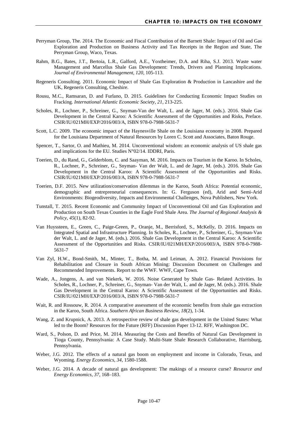- Perryman Group, The. 2014. The Economic and Fiscal Contribution of the Barnett Shale: Impact of Oil and Gas Exploration and Production on Business Activity and Tax Receipts in the Region and State, The Perryman Group, Waco, Texas.
- Rahm, B.G., Bates, J.T., Bertoia, L.R., Galford, A.E., Yoxtheimer, D.A. and Riha, S.J. 2013. Waste water Management and Marcellus Shale Gas Development: Trends, Drivers and Planning Implications. *Journal of Environmental Management, 120*, 105-113.
- Regeneris Consulting. 2011. Economic Impact of Shale Gas Exploration & Production in Lancashire and the UK, Regeneris Consulting, Cheshire.
- Rousu, M.C., Ramsaran, D. and Furlano, D. 2015. Guidelines for Conducting Economic Impact Studies on Fracking. *International Atlantic Economic Society*, *21*, 213-225.
- Scholes, R., Lochner, P., Schreiner, G., Snyman-Van der Walt, L. and de Jager, M. (eds.). 2016. Shale Gas Development in the Central Karoo: A Scientific Assessment of the Opportunities and Risks, Preface. CSIR/IU/021MH/EXP/2016/003/A, ISBN 978-0-7988-5631-7
- Scott, L.C. 2009. The economic impact of the Haynesville Shale on the Louisiana economy in 2008. Prepared for the Louisiana Department of Natural Resources by Loren C. Scott and Associates, Baton Rouge.
- Spencer, T., Sartor, O. and Mathieu, M. 2014. Unconventional wisdom: an economic analysis of US shale gas and implications for the EU. Studies N°02/14. IDDRI, Paris.
- Toerien, D., du Rand, G., Gelderblom, C. and Saayman, M. 2016. Impacts on Tourism in the Karoo. In Scholes, R., Lochner, P., Schreiner, G., Snyman- Van der Walt, L. and de Jager, M. (eds.). 2016. Shale Gas Development in the Central Karoo: A Scientific Assessment of the Opportunities and Risks. CSIR/IU/021MH/EXP/2016/003/A, ISBN 978-0-7988-5631-7
- Toerien, D.F. 2015. New utilization/conservation dilemmas in the Karoo, South Africa: Potential economic, demographic and entrepreneurial consequences. [In: G. Ferguson \(ed\), Arid and Semi-Arid](http://www.researchgate.net/publication/282769949_Toerien_D.F._%282015%29_New_UtilizationConservation_Dilemmas_in_the_Karoo_South_Africa_Potential_Economic_Demographic_and_Entreprenerial_Consequences._In_G._Ferguson_%28ed%29_Arid_and_Semi-Arid_Environments_Biogegeodiversity_Impacts_and_Environmental_Challenges_Nova_Publishers_New_York)  [Environments: Biogeodiversity, Impacts and Environmental Challenges, Nova Publishers,](http://www.researchgate.net/publication/282769949_Toerien_D.F._%282015%29_New_UtilizationConservation_Dilemmas_in_the_Karoo_South_Africa_Potential_Economic_Demographic_and_Entreprenerial_Consequences._In_G._Ferguson_%28ed%29_Arid_and_Semi-Arid_Environments_Biogegeodiversity_Impacts_and_Environmental_Challenges_Nova_Publishers_New_York) New York.
- Tunstall, T. 2015. Recent Economic and Community Impact of Unconventional Oil and Gas Exploration and Production on South Texas Counties in the Eagle Ford Shale Area. *The Journal of Regional Analysis & Policy*, *45*(1), 82-92.
- Van Huyssteen, E., Green, C., Paige-Green, P., Oranje, M., Berrisford, S., McKelly, D. 2016. Impacts on Integrated Spatial and Infrastructure Planning. In Scholes, R., Lochner, P., Schreiner, G., Snyman-Van der Walt, L. and de Jager, M. (eds.). 2016. Shale Gas Development in the Central Karoo: A Scientific Assessment of the Opportunities and Risks. CSIR/IU/021MH/EXP/2016/003/A, ISBN 978-0-7988- 5631-7
- Van Zyl, H.W., Bond-Smith, M., Minter, T., Botha, M. and Leiman, A. 2012. Financial Provisions for Rehabilitation and Closure in South African Mining: Discussion Document on Challenges and Recommended Improvements. Report to the WWF. WWF, Cape Town.
- Wade, A., Jongens, A. and van Niekerk, W. 2016. Noise Generated by Shale Gas- Related Activities. In Scholes, R., Lochner, P., Schreiner, G., Snyman- Van der Walt, L. and de Jager, M. (eds.). 2016. Shale Gas Development in the Central Karoo: A Scientific Assessment of the Opportunities and Risks. CSIR/IU/021MH/EXP/2016/003/A, ISBN 978-0-7988-5631-7
- Wait, R. and Rossouw, R. 2014. A comparative assessment of the economic benefits from shale gas extraction in the Karoo, South Africa. *Southern African Business Review*, *18*(2), 1-34.
- Wang, Z. and Krupnick, A. 2013. A retrospective review of shale gas development in the United States: What led to the Boom? Resources for the Future (RFF) Discussion Paper 13-12. RFF, Washington DC.
- Ward, S., Polson, D. and Price, M. 2014. Measuring the Costs and Benefits of Natural Gas Development in Tioga County, Pennsylvania: A Case Study. Multi-State Shale Research Collaborative, Harrisburg, Pennsylvania.
- Weber, J.G. 2012. The effects of a natural gas boom on employment and income in Colorado. Texas, and Wyoming. *Energy Economics*, *34*, 1580-1588.
- Weber, J.G. 2014. A decade of natural gas development: The makings of a resource curse? *Resource and Energy Economics*, *37*, 168–183.